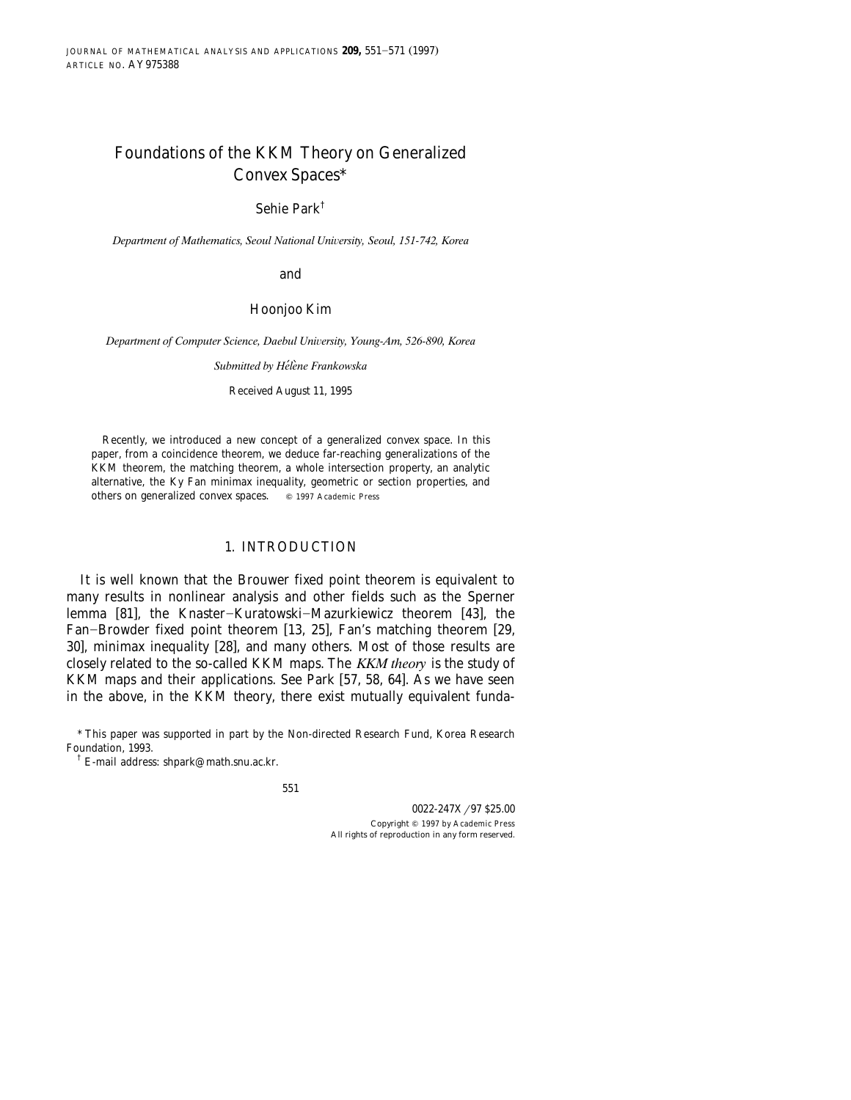# Foundations of the KKM Theory on Generalized Convex Spaces\*

Sehie Park†

Department of Mathematics, Seoul National University, Seoul, 151-742, Korea

and

#### Hoonjoo Kim

*Department of Computer Science, Daebul University, Young-Am, 526-890, Korea* 

*Submitted by Helene Frankowska* ´`

Received August 11, 1995

Recently, we introduced a new concept of a generalized convex space. In this paper, from a coincidence theorem, we deduce far-reaching generalizations of the KKM theorem, the matching theorem, a whole intersection property, an analytic alternative, the Ky Fan minimax inequality, geometric or section properties, and others on generalized convex spaces.  $\circ$  1997 Academic Press

#### 1. INTRODUCTION

It is well known that the Brouwer fixed point theorem is equivalent to many results in nonlinear analysis and other fields such as the Sperner lemma [81], the Knaster-Kuratowski-Mazurkiewicz theorem [43], the Fan-Browder fixed point theorem [13, 25], Fan's matching theorem [29, 30], minimax inequality [28], and many others. Most of those results are closely related to the so-called KKM maps. The *KKM theory* is the study of KKM maps and their applications. See Park [57, 58, 64]. As we have seen in the above, in the KKM theory, there exist mutually equivalent funda-

<sup>\*</sup> This paper was supported in part by the Non-directed Research Fund, Korea Research Foundation, 1993.

<sup>†</sup> E-mail address: shpark@math.snu.ac.kr.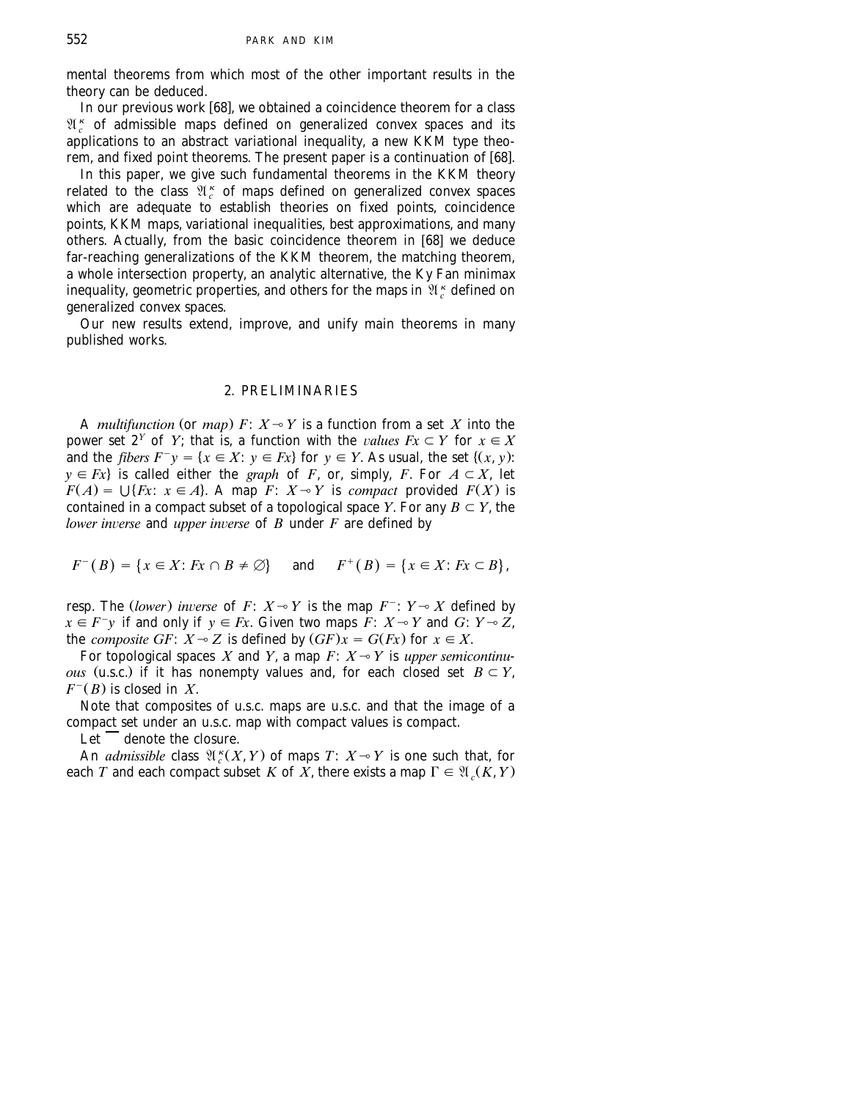mental theorems from which most of the other important results in the

theory can be deduced.<br>In our previous work [68], we obtained a coincidence theorem for a class  $\mathfrak{A}^{\kappa}_{c}$  of admissible maps defined on generalized convex spaces and its applications to an abstract variational inequality, a new KKM type theo-<br>rem, and fixed point theorems. The present paper is a continuation of [68].

In this paper, we give such fundamental theorems in the KKM theory related to the class  $\mathfrak{A}^{\,\kappa}_{\,c}$  of maps defined on generalized convex spaces which are adequate to establish theories on fixed points, coincidence points, KKM maps, variational inequalities, best approximations, and many<br>others. Actually, from the basic coincidence theorem in [68] we deduce far-reaching generalizations of the KKM theorem, the matching theorem, a whole intersection property, an analytic alternative, the Ky Fan minimax inequality, geometric properties, and others for the maps in  $\mathfrak{A}^{\,\kappa}_{\,c}$  defined on generalized convex spaces.

Our new results extend, improve, and unify main theorems in many published works.

#### 2. PRELIMINARIES

A *multifunction* (or *map*)  $F: X \rightarrow Y$  is a function from a set *X* into the power set  $2^Y$  of *Y*; that is, a function with the *values Fx*  $\subset Y$  for  $x \in X$ and the *fibers*  $F^{-}y = \{x \in X : y \in Fx\}$  for  $y \in Y$ . As usual, the set  $\{(x, y):$  $y \in Fx$  is called either the *graph* of *F*, or, simply, *F*. For  $A \subset X$ , let  $F(A) = \bigcup \{Fx: x \in A\}$ . A map  $F: X \rightarrow Y$  is *compact* provided  $F(X)$  is contained in a compact subset of a topological space *Y*. For any  $B \subset Y$ , the *lower inverse* and *upper inverse* of *B* under *F* are defined by

$$
F^{-}(B) = \{x \in X : Fx \cap B \neq \emptyset\} \quad \text{and} \quad F^{+}(B) = \{x \in X : Fx \subset B\},\
$$

resp. The *(lower) inverse* of  $F: X \rightarrow Y$  is the map  $F^{-}: Y \rightarrow X$  defined by  $x \in F^-y$  if and only if  $y \in Fx$ . Given two maps  $\overline{F}$ :  $X \rightarrow Y$  and  $G$ :  $Y \rightarrow Z$ , the *composite GF*:  $X \sim Z$  is defined by  $(GF)x = G(Fx)$  for  $x \in X$ .

For topological spaces  $X$  and  $Y$ , a map  $F: X \rightarrow Y$  is *upper semicontinuous* (u.s.c.) if it has nonempty values and, for each closed set  $B \subset Y$ ,  $F^{-}(B)$  is closed in *X*.

Note that composites of u.s.c. maps are u.s.c. and that the image of a compact set under an u.s.c. map with compact values is compact.

 $Let$  denote the closure.

An *admissible* class  $\mathfrak{A}_{c}^{k}(X, Y)$  of maps  $T: X \rightarrow Y$  is one such that, for each *T* and each compact subset *K* of  $\overrightarrow{X}$ , there exists a map  $\Gamma \in \mathfrak{A}_c(K, Y)$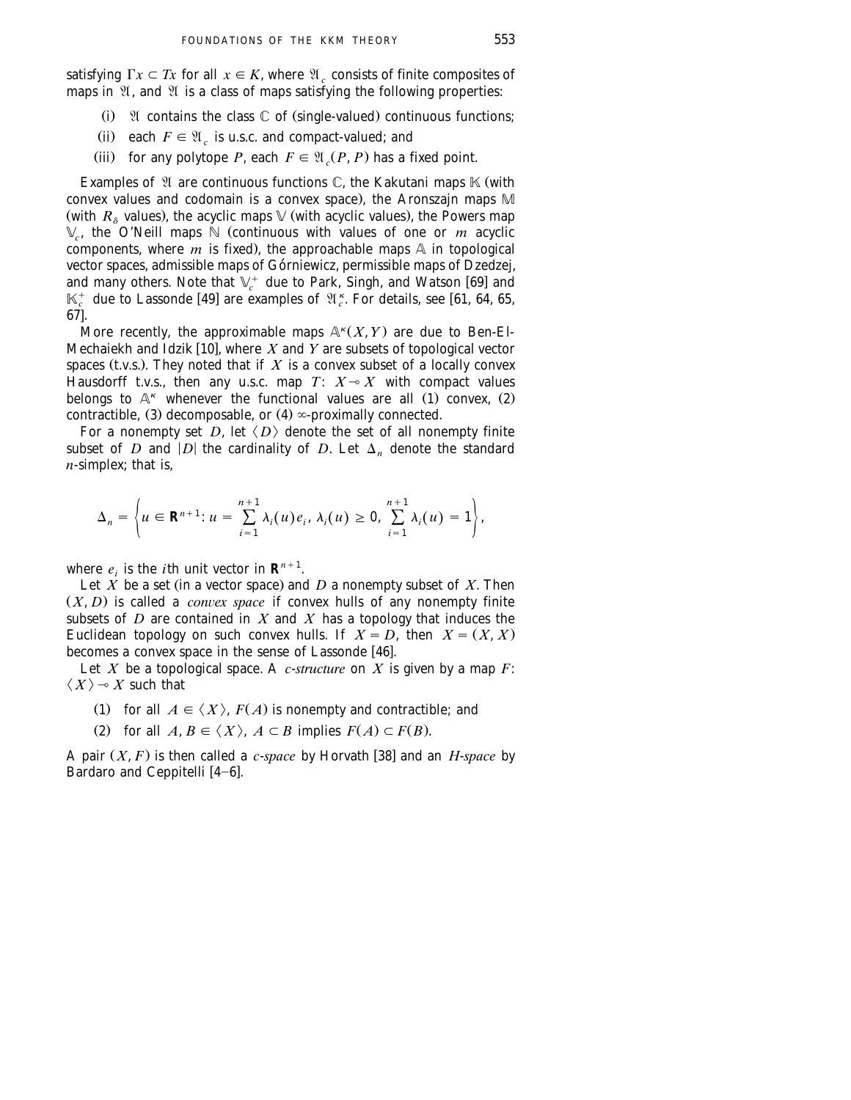satisfying  $\Gamma x \subset Tx$  for all  $x \in K$ , where  $\mathfrak{A}_c$  consists of finite composites of maps in  $\mathfrak{A}$ , and  $\mathfrak{A}$  is a class of maps satisfying the following properties:

- (i)  $\mathfrak A$  contains the class  $\mathbb C$  of (single-valued) continuous functions;
- (ii) each  $F \in \mathfrak{A}_c$  is u.s.c. and compact-valued; and
- (iii) for any polytope *P*, each  $F \in \mathfrak{A}$  *(P, P)* has a fixed point.

Examples of  $\mathfrak A$  are continuous functions  $\mathbb C$ , the Kakutani maps  $\mathbb K$  (with convex values and codomain is a convex space), the Aronszajn maps  $M$ (with  $R_{\delta}$  values), the acyclic maps  $\mathbb{V}$  (with acyclic values), the Powers map  $\mathbb{V}_c$ , the O'Neill maps  $\mathbb{N}$  (continuous with values of one or *m* acyclic components, where  $\overline{m}$  is fixed), the approachable maps  $\overline{A}$  in topological vector spaces, admissible maps of Górniewicz, permissible maps of Dzedzej, and many others. Note that  $\mathbb{V}_c^+$  due to Park, Singh, and Watson [69] and  $\mathbb{V}_c^+$  and w  $\mathbb{V}_c^+$  and w  $\mathbb{V}_c^+$  and w  $\mathbb{V}_c^+$  an  $\mathbb{K}_{c}^{+}$  due to Lassonde [49] are examples of  $\mathfrak{A}_{c}^{\kappa}$ . For details, see [61, 64, 65,  $671.$ 

More recently, the approximable maps  $\mathbb{A}^k(X, Y)$  are due to Ben-El-Mechaiekh and Idzik [10], where X and Y are subsets of topological vector spaces (t.v.s.). They noted that if  $X$  is a convex subset of a locally convex Hausdorff t.v.s., then any u.s.c. map  $T\colon\thinspace X\!\multimap\! X$  with compact values belongs to  $\mathbb{A}^{\kappa}$  whenever the functional values are all (1) convex, (2) contractible,  $(3)$  decomposable, or  $(4)$   $\infty$ -proximally connected.

For a nonempty set *D*, let  $\langle D \rangle$  denote the set of all nonempty finite subset of *D* and  $|D|$  the cardinality of *D*. Let  $\Delta_n$  denote the standard *n*-simplex; that is,

$$
\Delta_n=\left\{u\in\mathbf{R}^{n+1}\colon u=\sum_{i=1}^{n+1}\lambda_i(u)e_i,\,\lambda_i(u)\geq 0,\,\sum_{i=1}^{n+1}\lambda_i(u)=1\right\},
$$

where  $e_i$  is the *i*th unit vector in  $\mathbf{R}^{n+1}$ .

Let  $\overrightarrow{X}$  be a set (in a vector space) and  $\overrightarrow{D}$  a nonempty subset of  $X$ . Then  $(X, D)$  is called a *convex space* if convex hulls of any nonempty finite subsets of  $D$  are contained in  $X$  and  $X$  has a topology that induces the Euclidean topology on such convex hulls. If  $X = D$ , then  $X = (X, X)$ becomes a convex space in the sense of Lassonde  $[46]$ .

Let *X* be a topological space. A *c*-*structure* on *X* is given by a map *F*:  $\langle X \rangle \rightarrow X$  such that

- (1) for all  $A \in \langle X \rangle$ ,  $F(A)$  is nonempty and contractible; and
- (2) for all  $A, B \in \langle X \rangle$ ,  $A \subset B$  implies  $F(A) \subset F(B)$ .

A pair  $(X, F)$  is then called a *c*-*space* by Horvath [38] and an *H*-*space* by Bardaro and Ceppitelli  $[4-6]$ .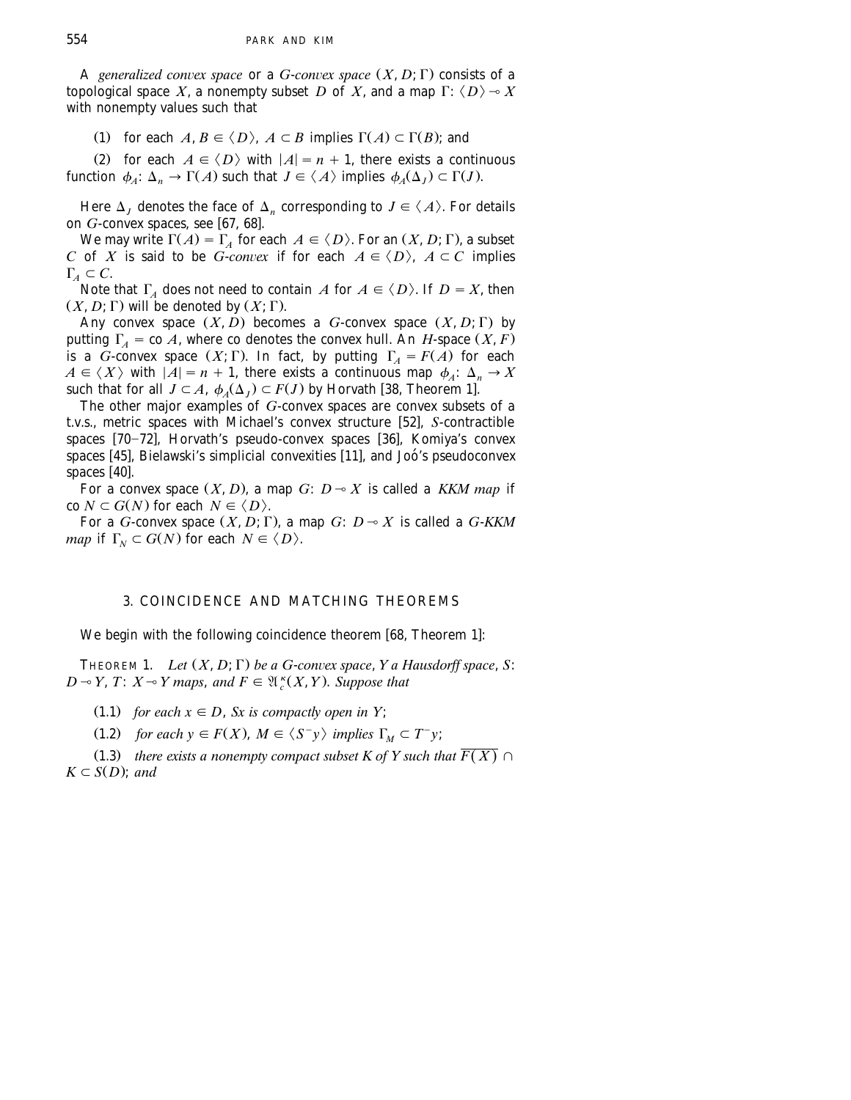A *generalized convex space* or a *G*-*convex space*  $(X, D; \Gamma)$  consists of a topological space X, a nonempty subset D of X, and a map  $\Gamma: \langle D \rangle \rightarrow X$ with nonempty values such that

(1) for each  $A, B \in \langle D \rangle$ ,  $A \subset B$  implies  $\Gamma(A) \subset \Gamma(B)$ ; and

(2) for each  $A \in \langle D \rangle$  with  $|A| = n + 1$ , there exists a continuous function  $\phi_A: \Delta_n \to \Gamma(A)$  such that  $J \in \langle A \rangle$  implies  $\phi_A(\Delta_i) \subset \Gamma(J)$ .

Here  $\Delta_I$  denotes the face of  $\Delta_n$  corresponding to  $J \in \langle A \rangle$ . For details on *G*-convex spaces, see [67, 68].

We may write  $\Gamma(A) = \Gamma_A$  for each  $A \in \langle D \rangle$ . For an  $(X, D; \Gamma)$ , a subset *C* of *X* is said to be *G*-*convex* if for each  $A \in \langle D \rangle$ ,  $A \subset C$  implies  $\Gamma_A \subset C$ .

Note that  $\Gamma_A$  does not need to contain *A* for  $A \in \langle D \rangle$ . If  $D = X$ , then  $(X, D; \Gamma)$  will be denoted by  $(X; \Gamma)$ .

Any convex space  $(X, D)$  becomes a *G*-convex space  $(X, D; \Gamma)$  by putting  $\Gamma_A = \text{co } A$ , where co denotes the convex hull. An *H*-space  $(X, F)$ is a *G*-convex space  $(X; \Gamma)$ . In fact, by putting  $\Gamma_A = F(A)$  for each  $A \in \langle X \rangle$  with  $|A| = n + 1$ , there exists a continuous map  $\phi_A: \Delta_n \to X$ such that for all  $J \subset A$ ,  $\phi_A(\Delta_J) \subset F(J)$  by Horvath [38, Theorem 1].

The other major examples of *G*-convex spaces are convex subsets of a t.v.s., metric spaces with Michael's convex structure [52], *S*-contractible spaces  $[70-72]$ , Horvath's pseudo-convex spaces  $[36]$ , Komiya's convex spaces [45], Bielawski's simplicial convexities [11], and Joó's pseudoconvex spaces  $[40]$ .

For a convex space  $(X, D)$ , a map *G*:  $D \sim X$  is called a *KKM map* if  $\text{co } N \subset G(N)$  for each  $N \in \langle D \rangle$ .

For a *G*-convex space  $(X, D; \Gamma)$ , a map *G*:  $D \sim X$  is called a *G-KKM map* if  $\Gamma_N \subset G(N)$  for each  $N \in \langle D \rangle$ .

## 3. COINCIDENCE AND MATCHING THEOREMS

We begin with the following coincidence theorem [68, Theorem 1]:

THEOREM 1. *Let*  $(X, D; \Gamma)$  *be a G-convex space, Y a Hausdorff space, S:*  $D \sim Y$ ,  $T: X \sim Y$  maps, and  $F \in \mathfrak{A}^{\kappa}_{c}(X, Y)$ . Suppose that

 $(1.1)$  *for each*  $x \in D$ , *Sx is compactly open in Y*;

(1.2) for each  $y \in F(X)$ ,  $M \in \langle S^-y \rangle$  implies  $\Gamma_M \subset T^-y$ ;

(1.3) there exists a nonempty compact subset K of Y such that  $\overline{F(X)} \cap$  $K \subset S(D)$ ; *and*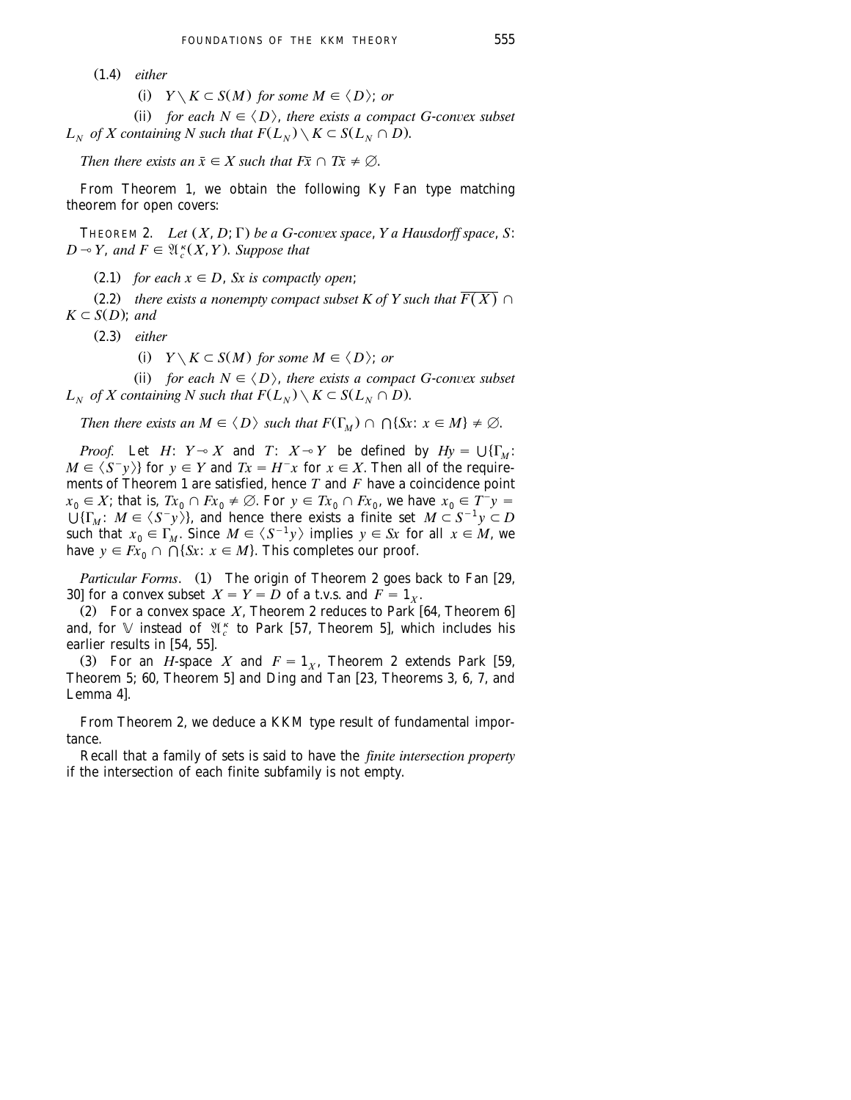Ž . 1.4 *either*

(i)  $Y \setminus K \subset S(M)$  for some  $M \in \langle D \rangle$ ; or

(ii) for each  $N \in \langle D \rangle$ , there exists a compact G-convex subset *L<sub>N</sub>* of *X* containing *N* such that  $F(L_N) \setminus K \subset S(L_N \cap D)$ .

*Then there exists an*  $\bar{x} \in X$  *such that*  $F\bar{x} \cap T\bar{x} \neq \emptyset$ .

From Theorem 1, we obtain the following Ky Fan type matching theorem for open covers:

THEOREM 2. *Let*  $(X, D; \Gamma)$  *be a G-convex space, Y a Hausdorff space, S:*  $D \rightarrow Y$ , and  $F \in \mathfrak{A}^{\kappa}(X, Y)$ . Suppose that

(2.1) *for each*  $x \in D$ , *Sx is compactly open*;

(2.2) *there exists a nonempty compact subset K of Y such that*  $\overline{F(X)} \cap$  $K \subset S(D)$ ; *and* 

Ž . 2.3 *either*

(i)  $Y \setminus K \subset S(M)$  for some  $M \in \langle D \rangle$ ; or

(ii) for each  $N \in \langle D \rangle$ , there exists a compact G-convex subset *L<sub>N</sub>* of *X* containing *N* such that  $F(L_N) \setminus K \subset S(L_N \cap D)$ .

*Then there exists an*  $M \in \langle D \rangle$  *such that*  $F(\Gamma_M) \cap \bigcap \{Sx : x \in M\} \neq \emptyset$ .

*Proof.* Let *H*:  $Y \sim X$  and *T*:  $X \sim Y$  be defined by  $Hy = \bigcup \{\Gamma_M :$  $M \in \langle S^-y \rangle$  for  $y \in Y$  and  $Tx = H^-x$  for  $x \in X$ . Then all of the requirements of Theorem 1 are satisfied, hence *T* and *F* have a coincidence point  $x_0 \in X$ ; that is,  $Tx_0 \cap Fx_0 \neq \emptyset$ . For  $y \in Tx_0 \cap Fx_0$ , we have  $x_0 \in T^{-}y = 0$  $\bigcup \{\Gamma_M : M \in \langle S^-y \rangle\}$ , and hence there exists a finite set  $M \subset S^{-1}y \subset D$ such that  $x_0 \in \Gamma_M$ . Since  $M \in \langle S^{-1}y \rangle$  implies  $y \in S_x$  for all  $x \in M$ , we have  $y \in Fx_0 \cap \bigcap \{Sx : x \in M\}$ . This completes our proof.

*Particular Forms.* (1) The origin of Theorem 2 goes back to Fan [29, 30] for a convex subset  $X = Y = D$  of a t.v.s. and  $F = 1_X$ .

(2) For a convex space  $X$ , Theorem 2 reduces to Park  $[64,$  Theorem 6] and, for  $\mathbb V$  instead of  $\mathfrak{A}_{c}^{\kappa}$  to Park [57, Theorem 5], which includes his earlier results in  $[54, 55]$ .

(3) For an *H*-space *X* and  $F = 1<sub>x</sub>$ , Theorem 2 extends Park [59, Theorem 5; 60, Theorem 5] and Ding and Tan [23, Theorems 3, 6, 7, and Lemma 4].

From Theorem 2, we deduce a KKM type result of fundamental importance.

Recall that a family of sets is said to have the *finite intersection property* if the intersection of each finite subfamily is not empty.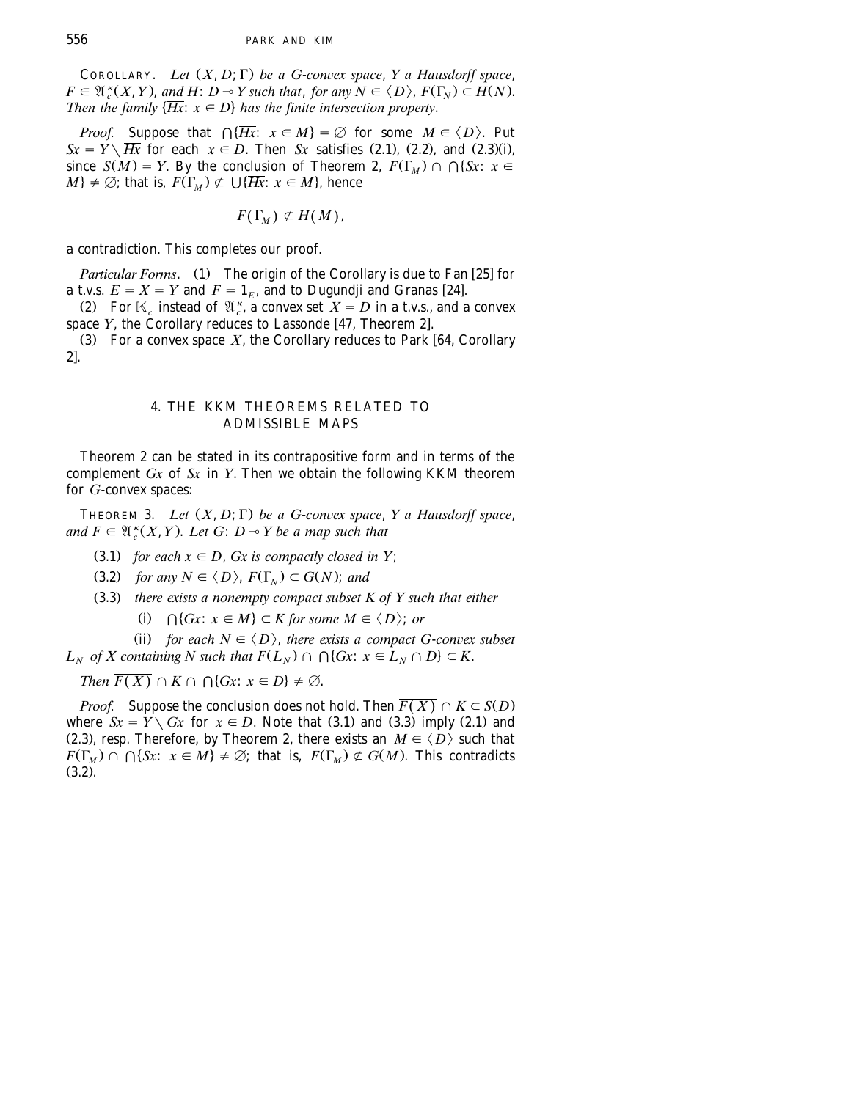COROLLARY. *Let*  $(X, D; \Gamma)$  *be a G-convex space*, *Y a Hausdorff space*,  $F \in \mathfrak{A}_{\epsilon}^{\kappa}(X, Y)$ , and  $H: D \to Y$  such that, for any  $N \in \langle D \rangle$ ,  $F(\Gamma_{N}) \subset H(N)$ . *Then the family*  $\{Hx : x \in D\}$  *has the finite intersection property.* 

*Proof.* Suppose that  $\bigcap \{\overline{Hx}: x \in M\} = \emptyset$  for some  $M \in \langle D \rangle$ . Put  $Sx = Y \setminus \overline{Hx}$  for each  $x \in D$ . Then *Sx* satisfies (2.1), (2.2), and (2.3)(i), since  $S(M) = Y$ . By the conclusion of Theorem 2,  $F(\Gamma_M) \cap \Gamma(X)$ :  $x \in$  $M$   $\neq \emptyset$ ; that is,  $F(\Gamma_M) \not\subset \bigcup \{\overline{Hx}: x \in M\}$ , hence

$$
F(\Gamma_M) \not\subset H(M),
$$

a contradiction. This completes our proof.

*Particular Forms.* (1) The origin of the Corollary is due to Fan [25] for a t.v.s.  $E = X = Y$  and  $F = 1<sub>E</sub>$ , and to Dugundji and Granas [24].

(2) For  $\mathbb{K}_{c}$  instead of  $\mathfrak{A}_{c}^{K}$ , a convex set  $X = D$  in a t.v.s., and a convex space *Y*, the Corollary reduces to Lassonde [47, Theorem 2].

(3) For a convex space  $X$ , the Corollary reduces to Park [64, Corollary  $2<sup>1</sup>$ .

#### 4. THE KKM THEOREMS RELATED TO ADMISSIBLE MAPS

Theorem 2 can be stated in its contrapositive form and in terms of the complement *Gx* of *Sx* in *Y*. Then we obtain the following KKM theorem for *G*-convex spaces:

THEOREM 3. *Let*  $(X, D; \Gamma)$  *be a G-convex space*,  $Y$  *a Hausdorff space*, and  $F \in \mathfrak{A}_{c}^{k}(X, Y)$ . Let G:  $D \rightarrow Y$  be a map such that

- $(3.1)$  *for each*  $x \in D$ , *Gx is compactly closed in Y*;
- $(3.2)$  *for any*  $N \in \langle D \rangle$ ,  $F(\Gamma_N) \subset G(N)$ ; *and*
- Ž . 3.3 *there exists a nonempty compact subset K of Y such that either*
	- (i)  $\bigcap$  {*Gx*:  $x \in M$ }  $\subset$  *K for some M*  $\in$   $\langle D \rangle$ ; *or*

(ii) for each  $N \in \langle D \rangle$ , there exists a compact G-convex subset *L<sub>N</sub>* of *X* containing *N* such that  $F(L_N) \cap \bigcap \{Gx : x \in L_N \cap D\} \subset K$ .

*Then*  $\overline{F(X)} \cap K \cap \bigcap \{Gx : x \in D\} \neq \emptyset$ .

*Proof.* Suppose the conclusion does not hold. Then  $\overline{F(X)} \cap K \subset S(D)$ where  $S_x = Y \setminus G_x$  for  $x \in D$ . Note that (3.1) and (3.3) imply (2.1) and (2.3), resp. Therefore, by Theorem 2, there exists an  $M \in \langle D \rangle$  such that  $F(\Gamma_M) \cap \Gamma(\{Sx : x \in M\} \neq \emptyset$ ; that is,  $F(\Gamma_M) \not\subset G(M)$ . This contradicts  $(3.2)$ .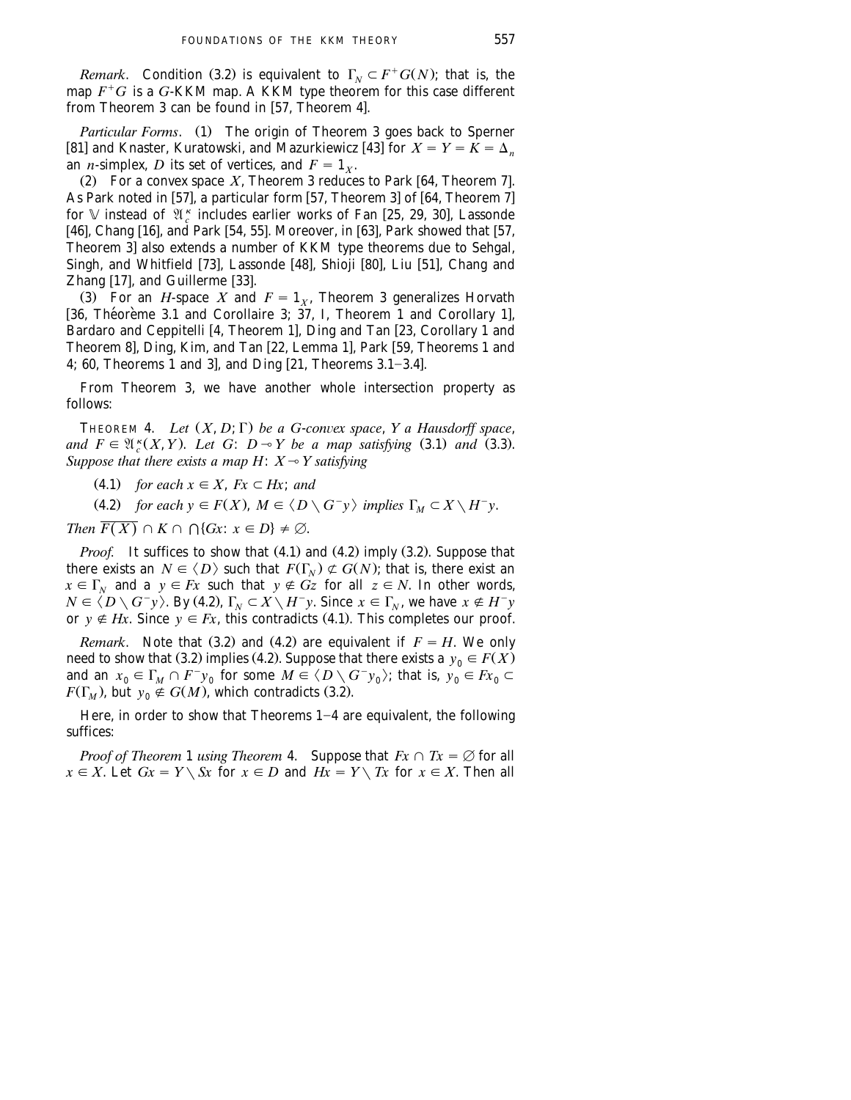*Remark*. Condition (3.2) is equivalent to  $\Gamma_N \subset F^+G(N)$ ; that is, the map  $F^+G$  is a G-KKM map. A KKM type theorem for this case different from Theorem 3 can be found in  $[57,$  Theorem 4.

*Particular Forms.* (1) The origin of Theorem 3 goes back to Sperner which is a simulated by the engine of the engine of  $\mathcal{S}$  is the simulated  $\mathcal{S}$  of  $X = Y = K = \Delta_n$ an *n*-simplex, *D* its set of vertices, and  $F = 1<sub>x</sub>$ .

(2) For a convex space  $X$ , Theorem 3 reduces to Park [64, Theorem 7]. As Park noted in  $[57]$ , a particular form  $[57]$ , Theorem 3] of  $[64]$ , Theorem 7] for V instead of  $\mathfrak{A}_{\epsilon}^{\kappa}$  includes earlier works of Fan [25, 29, 30], Lassonde [46], Chang [16], and Park [54, 55]. Moreover, in [63], Park showed that [57, Theorem 3] also extends a number of KKM type theorems due to Sehgal, Singh, and Whitfield [73], Lassonde [48], Shioji [80], Liu [51], Chang and Zhang [17], and Guillerme [33].

(3) For an *H*-space *X* and  $F = 1_X$ , Theorem 3 generalizes Horvath  $\overline{36}$ , Theoreme 3.1 and Corollaire 3; 37, I, Theorem 1 and Corollary 1], Bardaro and Ceppitelli [4, Theorem 1], Ding and Tan [23, Corollary 1 and Theorem 8], Ding, Kim, and Tan [22, Lemma 1], Park [59, Theorems 1 and 4; 60, Theorems 1 and 3], and Ding  $[21,$  Theorems 3.1-3.4].

From Theorem 3, we have another whole intersection property as follows:

THEOREM 4. *Let*  $(X, D; \Gamma)$  *be a G-convex space*,  $Y$  *a Hausdorff space*, and  $F \in \mathfrak{A}_{c}^{k}(X, Y)$ . Let G:  $D \rightarrow Y$  be a map satisfying (3.1) and (3.3). *Suppose that there exists a map H:*  $X \rightarrow Y$  *satisfying* 

 $(4.1)$  *for each*  $x \in X$ *,*  $Fx \subset Hx$ *; and* 

(4.2) *for each y*  $\in$  *F(X),*  $M \in \langle D \setminus G^{-}y \rangle$  *implies*  $\Gamma_M \subset X \setminus H^{-}y$ .

*Then*  $\overline{F(X)} \cap K \cap \bigcap \{Gx : x \in D\} \neq \emptyset$ .

*Proof.* It suffices to show that (4.1) and (4.2) imply (3.2). Suppose that there exists an  $N \in \langle D \rangle$  such that  $F(\Gamma_N) \not\subset G(N)$ ; that is, there exist an  $x \in \Gamma$ <sub>N</sub> and a  $y \in Fx$  such that  $y \notin Gz$  for all  $z \in N$ . In other words,  $N \in \langle D \setminus G^-y \rangle$ . By (4.2),  $\Gamma_N \subset X \setminus H^-y$ . Since  $x \in \Gamma_N$ , we have  $x \notin H^-y$ or  $y \notin Hx$ . Since  $y \in Fx$ , this contradicts (4.1). This completes our proof.

*Remark*. Note that (3.2) and (4.2) are equivalent if  $F = H$ . We only need to show that (3.2) implies (4.2). Suppose that there exists a  $y_0 \in F(X)$ and an  $x_0 \in \Gamma_M \cap F^{-}y_0$  for some  $M \in \langle D \setminus G^{-}y_0 \rangle$ ; that is,  $y_0 \in F_{x_0} \subset$  $F(\Gamma_M)$ , but  $y_0 \notin G(M)$ , which contradicts (3.2).

Here, in order to show that Theorems  $1-4$  are equivalent, the following suffices:

*Proof of Theorem* 1 *using Theorem* 4. Suppose that  $Fx \cap Tx = \emptyset$  for all  $x \in X$ . Let  $Gx = Y \setminus Sx$  for  $x \in D$  and  $Hx = Y \setminus Tx$  for  $x \in X$ . Then all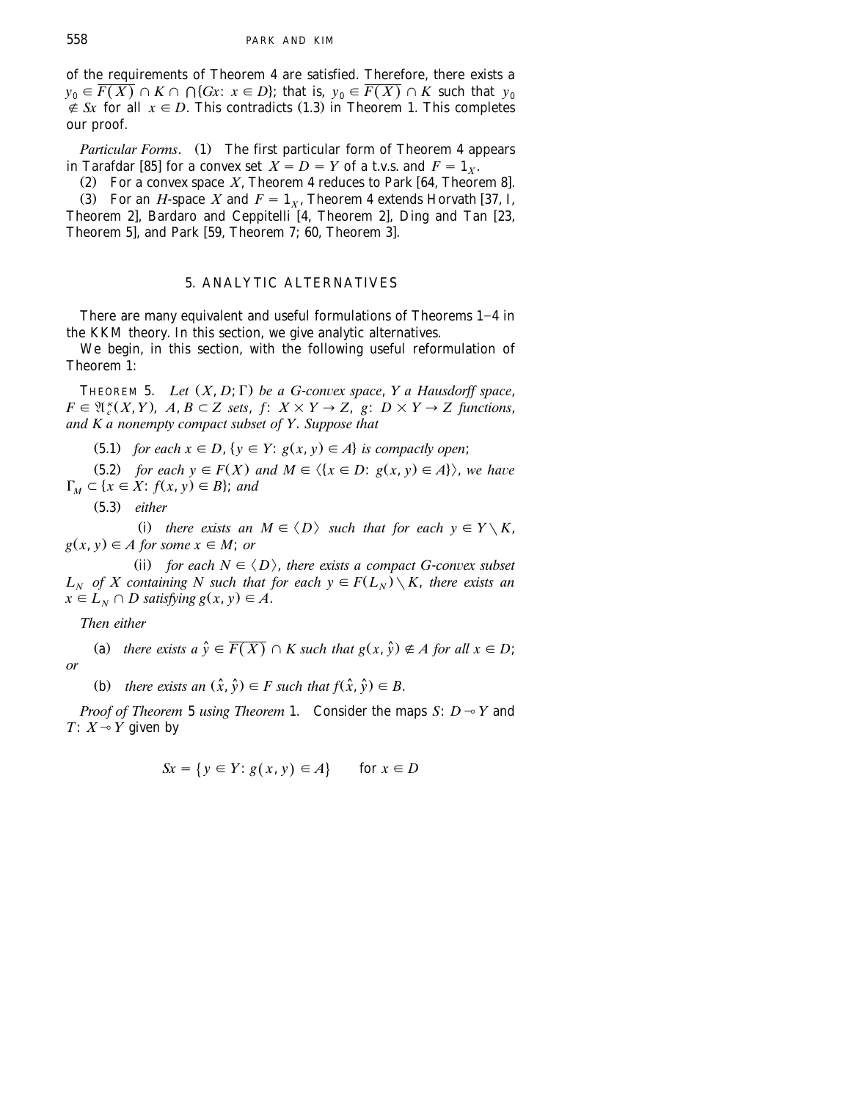of the requirements of Theorem 4 are satisfied. Therefore, there exists a  $y_0 \in \overline{F(X)} \cap K \cap \bigcap \{Gx : x \in D\}$ ; that is,  $y_0 \in \overline{F(X)} \cap K$  such that  $y_0$  $\notin$  *Sx* for all  $x \in D$ . This contradicts (1.3) in Theorem 1. This completes our proof.

*Particular Forms.* (1) The first particular form of Theorem 4 appears in Tarafdar [85] for a convex set  $X = D = Y$  of a t.v.s. and  $F = 1_X$ .

(2) For a convex space  $X$ , Theorem 4 reduces to Park [64, Theorem 8].

 $\widehat{X}$  . 3) For an *H*-space *X* and  $F = 1_x$ , Theorem 4 extends Horvath [37, I, Theorem 2], Bardaro and Ceppitelli [4, Theorem 2], Ding and Tan [23, Theorem 5], and Park  $[59,$  Theorem 7; 60, Theorem 3].

### 5. ANALYTIC ALTERNATIVES

There are many equivalent and useful formulations of Theorems  $1-4$  in the KKM theory. In this section, we give analytic alternatives.

We begin, in this section, with the following useful reformulation of Theorem 1:

THEOREM 5. *Let*  $(X, D; \Gamma)$  *be a G-convex space*, *Y a Hausdorff space*,  $F \in \mathfrak{A}_{c}^{k}(X, Y), A, B \subset Z$  sets,  $f: X \times Y \to Z$ ,  $g: D \times Y \to Z$  functions, *and K a nonempty compact subset of Y*. *Suppose that*

 $(5.1)$  *for each*  $x \in D$ ,  $\{y \in Y : g(x, y) \in A\}$  *is compactly open*;

(5.2) *for each y*  $\in$  *F(X) and M*  $\in$   $\langle \{x \in D : g(x, y) \in A\} \rangle$ , we have  $\Gamma_M \subset \{x \in X : f(x, y) \in B\};$  and

Ž . 5.3 *either*

(i) there exists an  $M \in \langle D \rangle$  such that for each  $y \in Y \setminus K$ ,  $g(x, y) \in A$  for some  $x \in M$ ; or

(ii) for each  $N \in \langle D \rangle$ , there exists a compact G-convex subset  $L_N$  of X containing N such that for each  $y \in F(L_N) \setminus K$ , there exists an  $x \in L_N \cap D$  satisfying  $g(x, y) \in A$ .

*Then either*

(a) there exists  $a \hat{y} \in \overline{F(X)} \cap K$  such that  $g(x, \hat{y}) \notin A$  for all  $x \in D$ ; *or*

(b) there exists an  $(\hat{x}, \hat{y}) \in F$  such that  $f(\hat{x}, \hat{y}) \in B$ .

*Proof of Theorem* 5 *using Theorem* 1. Consider the maps  $S: D \rightarrow Y$  and *T*:  $X \sim Y$  given by

$$
Sx = \{ y \in Y : g(x, y) \in A \} \quad \text{for } x \in D
$$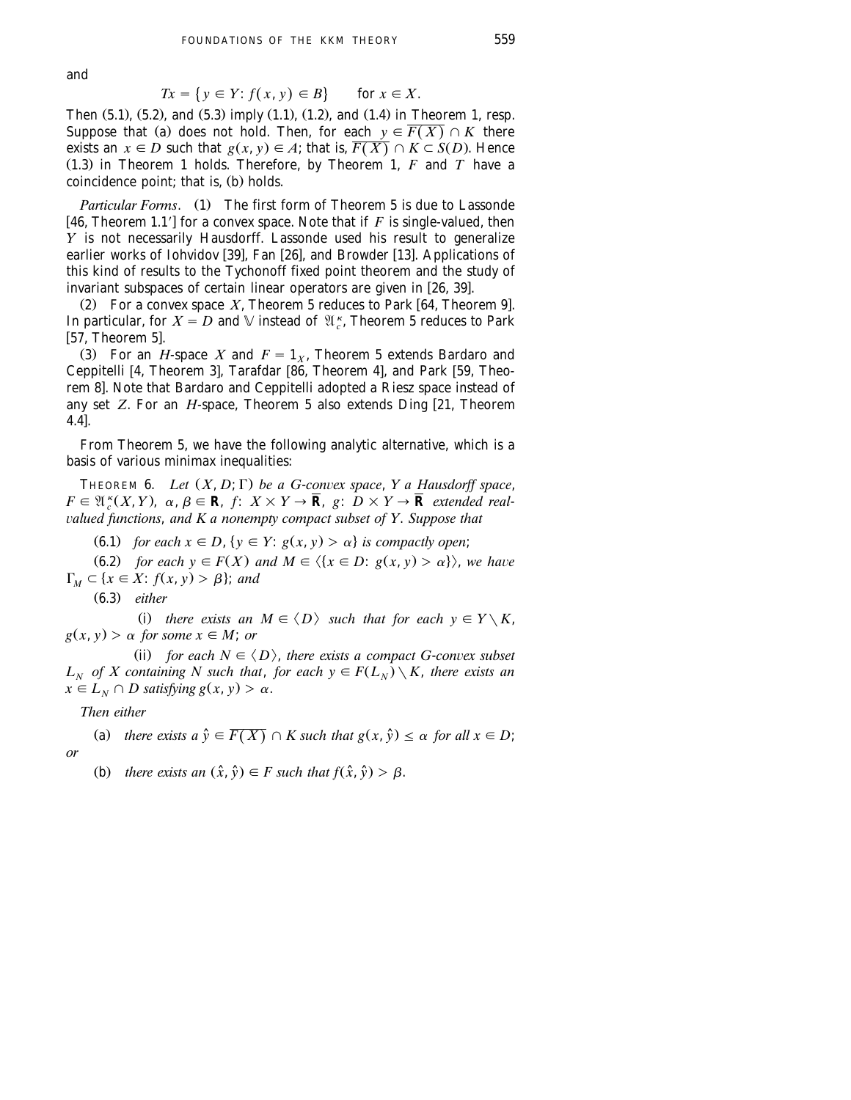and

$$
Tx = \{ y \in Y : f(x, y) \in B \} \quad \text{for } x \in X.
$$

Then  $(5.1)$ ,  $(5.2)$ , and  $(5.3)$  imply  $(1.1)$ ,  $(1.2)$ , and  $(1.4)$  in Theorem 1, resp. Suppose that (a) does not hold. Then, for each  $y \in \overline{F(X)} \cap K$  there exists an  $x \in D$  such that  $g(x, y) \in A$ ; that is,  $\overline{F(X)} \cap K \subset S(D)$ . Hence  $(1.3)$  in Theorem 1 holds. Therefore, by Theorem 1,  $F$  and  $T$  have a coincidence point; that is, (b) holds.

*Particular Forms.* (1) The first form of Theorem 5 is due to Lassonde w x 46, Theorem 1.19 for a convex space. Note that if *F* is single-valued, then *Y* is not necessarily Hausdorff. Lassonde used his result to generalize earlier works of Iohvidov [39], Fan [26], and Browder [13]. Applications of this kind of results to the Tychonoff fixed point theorem and the study of invariant subspaces of certain linear operators are given in  $[26, 39]$ .

(2) For a convex space  $X$ , Theorem 5 reduces to Park [64, Theorem 9]. In particular, for  $X = D$  and  $\mathbb {V}$  instead of  $\mathfrak{A}_{c}^{\kappa}$ , Theorem 5 reduces to Park --- P = 2222 ...

(3) For an *H*-space *X* and  $F = 1_X$ , Theorem 5 extends Bardaro and Ceppitelli [4, Theorem 3], Tarafdar  $[86,$  Theorem 4], and Park [59, Theorem 8]. Note that Bardaro and Ceppitelli adopted a Riesz space instead of any set *Z*. For an *H*-space, Theorem 5 also extends Ding [21, Theorem  $4.4$ ].

From Theorem 5, we have the following analytic alternative, which is a basis of various minimax inequalities:

THEOREM 6. *Let*  $(X, D; \Gamma)$  *be a G-convex space, Y a Hausdorff space,*  $F \in \mathfrak{A}_{c}^{k}(X, Y), \alpha, \beta \in \mathbf{R}, f: X \times Y \rightarrow \overline{\mathbf{R}}, g: D \times Y \rightarrow \overline{\mathbf{R}}$  extended real-¨*alued functions*, *and K a nonempty compact subset of Y*. *Suppose that*

**(6.1)** for each  $x \in D$ ,  $\{y \in Y : g(x, y) > \alpha\}$  is compactly open;

**(6.2)** for each  $y \in F(X)$  and  $M \in \langle \{x \in D : g(x, y) > \alpha \} \rangle$ , we have  $\Gamma_M \subset \{x \in X : f(x, y) > \beta\};$  and

Ž . 6.3 *either*

(i) there exists an  $M \in \langle D \rangle$  such that for each  $y \in Y \setminus K$ ,  $g(x, y) > \alpha$  *for some*  $x \in M$ ; *or* 

(ii) *for each*  $N \in \langle D \rangle$ *, there exists a compact G-convex subset*  $L_N$  *of X containing N such that, for each*  $y \in F(L_N) \setminus K$ , *there exists an*  $x \in L_N \cap D$  *satisfying*  $g(x, y) > \alpha$ .

*Then either*

(a) there exists  $a \hat{y} \in \overline{F(X)} \cap K$  such that  $g(x, \hat{y}) \leq \alpha$  for all  $x \in D$ ; *or*

(b) there exists an  $(\hat{x}, \hat{y}) \in F$  such that  $f(\hat{x}, \hat{y}) > \beta$ .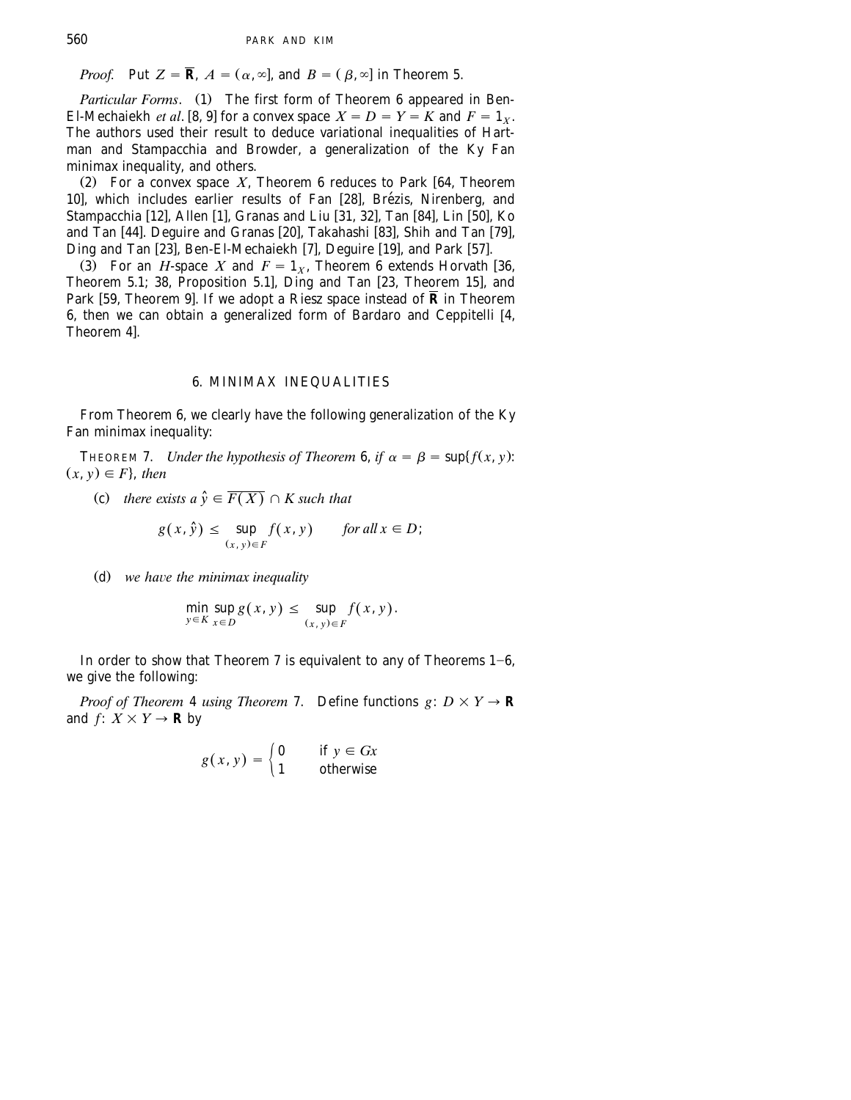*Proof.* Put  $Z = \overline{\mathbf{R}}$ ,  $A = (\alpha, \infty]$ , and  $B = (\beta, \infty]$  in Theorem 5.

*Particular Forms.* (1) The first form of Theorem 6 appeared in Ben-El-Mechaiekh *et al.* [8, 9] for a convex space  $X = D = Y = K$  and  $F = 1_X$ . The authors used their result to deduce variational inequalities of Hartman and Stampacchia and Browder, a generalization of the Ky Fan minimax inequality, and others.

(2) For a convex space  $X$ , Theorem 6 reduces to Park [64, Theorem 10], which includes earlier results of Fan [28], Brézis, Nirenberg, and Stampacchia [12], Allen [1], Granas and Liu [31, 32], Tan [84], Lin [50], Ko and Tan [44]. Deguire and Granas [20], Takahashi [83], Shih and Tan [79], Ding and Tan  $[23]$ , Ben-El-Mechaiekh  $[7]$ , Deguire  $[19]$ , and Park  $[57]$ .

(3) For an *H*-space *X* and  $F = 1_X$ , Theorem 6 extends Horvath [36, Theorem 5.1; 38, Proposition 5.1], Ding and Tan  $[23,$  Theorem 15], and Park [59, Theorem 9]. If we adopt a Riesz space instead of  $\bar{\mathbf{R}}$  in Theorem 6, then we can obtain a generalized form of Bardaro and Ceppitelli [4, Theorem 4l.

### 6. MINIMAX INEQUALITIES

From Theorem 6, we clearly have the following generalization of the Ky Fan minimax inequality:

THEOREM 7. *Under the hypothesis of Theorem* 6, *if*  $\alpha = \beta = \sup\{f(x, y):$  $(x, y) \in F$ , *then* 

(c) there exists a  $\hat{y} \in \overline{F(X)} \cap K$  such that

$$
g(x, \hat{y}) \le \sup_{(x, y) \in F} f(x, y) \quad \text{for all } x \in D;
$$

(d) we have the minimax inequality

$$
\min_{y \in K} \sup_{x \in D} g(x, y) \le \sup_{(x, y) \in F} f(x, y).
$$

In order to show that Theorem 7 is equivalent to any of Theorems  $1-6$ , we give the following:

*Proof of Theorem* 4 *using Theorem* 7. Define functions  $g: D \times Y \rightarrow \mathbb{R}$ and  $f: X \times Y \rightarrow \mathbf{R}$  by

$$
g(x, y) = \begin{cases} 0 & \text{if } y \in Gx \\ 1 & \text{otherwise} \end{cases}
$$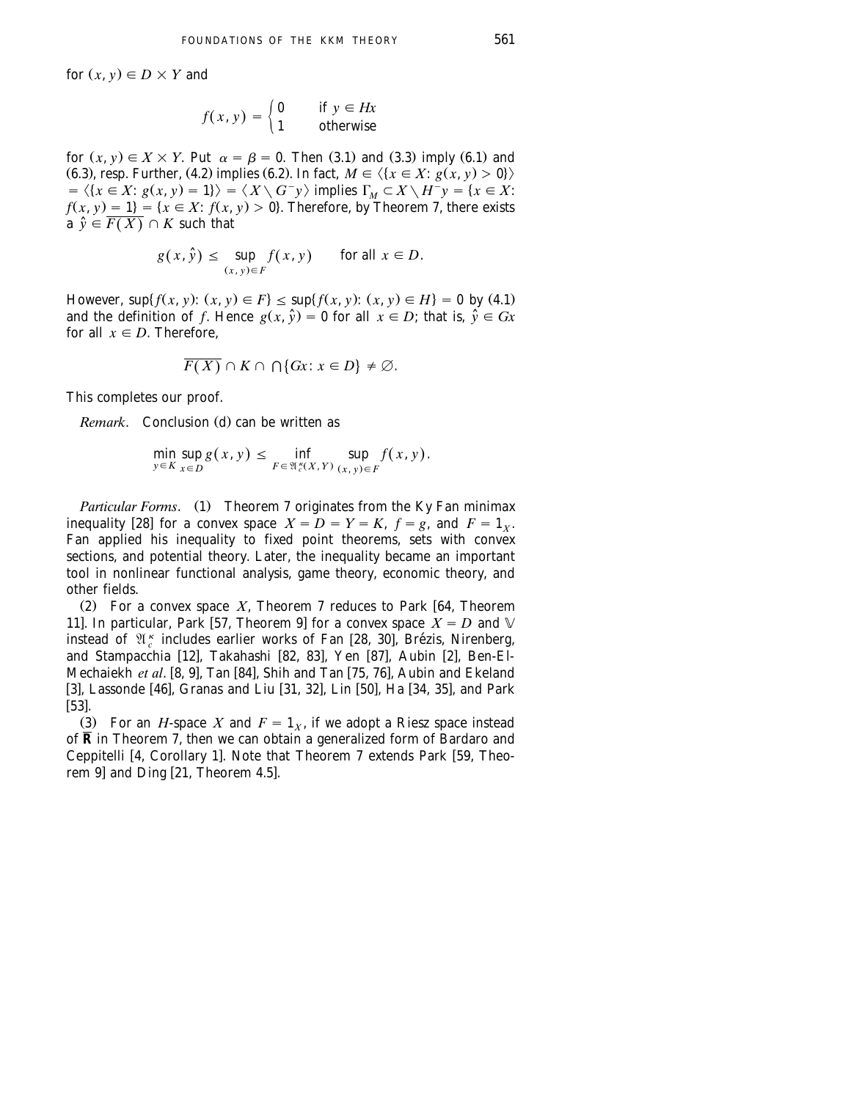for  $(x, y) \in D \times Y$  and

$$
f(x, y) = \begin{cases} 0 & \text{if } y \in Hx \\ 1 & \text{otherwise} \end{cases}
$$

for  $(x, y) \in X \times Y$ . Put  $\alpha = \beta = 0$ . Then (3.1) and (3.3) imply (6.1) and (6.3), resp. Further, (4.2) implies (6.2). In fact,  $M \in \{x \in X : g(x, y) > 0\}$ .  $\langle x \in X : g(x, y) = 1 \rangle$   $\leq \langle X \setminus G^{-}y \rangle$  implies  $\Gamma_M \subset X \setminus H^{-}y = \{x \in X : g(x, y) = 1\}$  $f(x, y) = 1$  = { $x \in X$ :  $f(x, y) > 0$ }. Therefore, by Theorem 7, there exists  $a \hat{v} \in \overline{F(X)} \cap K$  such that

$$
g(x, \hat{y}) \le \sup_{(x, y) \in F} f(x, y) \quad \text{for all } x \in D.
$$

However,  $\sup\{f(x, y): (x, y) \in F\} \leq \sup\{f(x, y): (x, y) \in H\} = 0$  by (4.1) and the definition of *f*. Hence  $g(x, \hat{y}) = 0$  for all  $x \in D$ ; that is,  $\hat{y} \in Gx$ for all  $x \in D$ . Therefore,

$$
\overline{F(X)} \cap K \cap \bigcap \{Gx \colon x \in D\} \neq \emptyset.
$$

This completes our proof.

*Remark.* Conclusion (d) can be written as

$$
\min_{y \in K} \sup_{x \in D} g(x, y) \le \inf_{F \in \mathfrak{A}_{c}^k(X, Y)} \sup_{(x, y) \in F} f(x, y).
$$

*Particular Forms.* (1) Theorem 7 originates from the Ky Fan minimax inequality [28] for a convex space  $X = D = Y = K$ ,  $f = g$ , and  $F = 1_x$ . Fan applied his inequality to fixed point theorems, sets with convex sections, and potential theory. Later, the inequality became an important tool in nonlinear functional analysis, game theory, economic theory, and other fields.

(2) For a convex space  $X$ , Theorem 7 reduces to Park [64, Theorem 11]. In particular, Park [57, Theorem 9] for a convex space  $X = D$  and  $\mathbb V$ instead of  $\mathcal{X}_{c}^{k}$  includes earlier works of Fan [28, 30], Brézis, Nirenberg, and Stampacchia [12], Takahashi [82, 83], Yen [87], Aubin [2], Ben-El-Mechaiekh *et al.* [8, 9], Tan [84], Shih and Tan [75, 76], Aubin and Ekeland which we will consider the set of the set of the set of the set of the set of the set of the set of the set of the set of the set of the set of the set of the set of the set of the set of the set of the set of the set of t . . . .<br>[53].

(3) For an *H*-space *X* and  $F = 1<sub>x</sub>$ , if we adopt a Riesz space instead of  $\overline{R}$  in Theorem 7, then we can obtain a generalized form of Bardaro and Ceppitelli [4, Corollary 1]. Note that Theorem 7 extends Park [59, Theorem  $9$ ] and Ding [21, Theorem 4.5].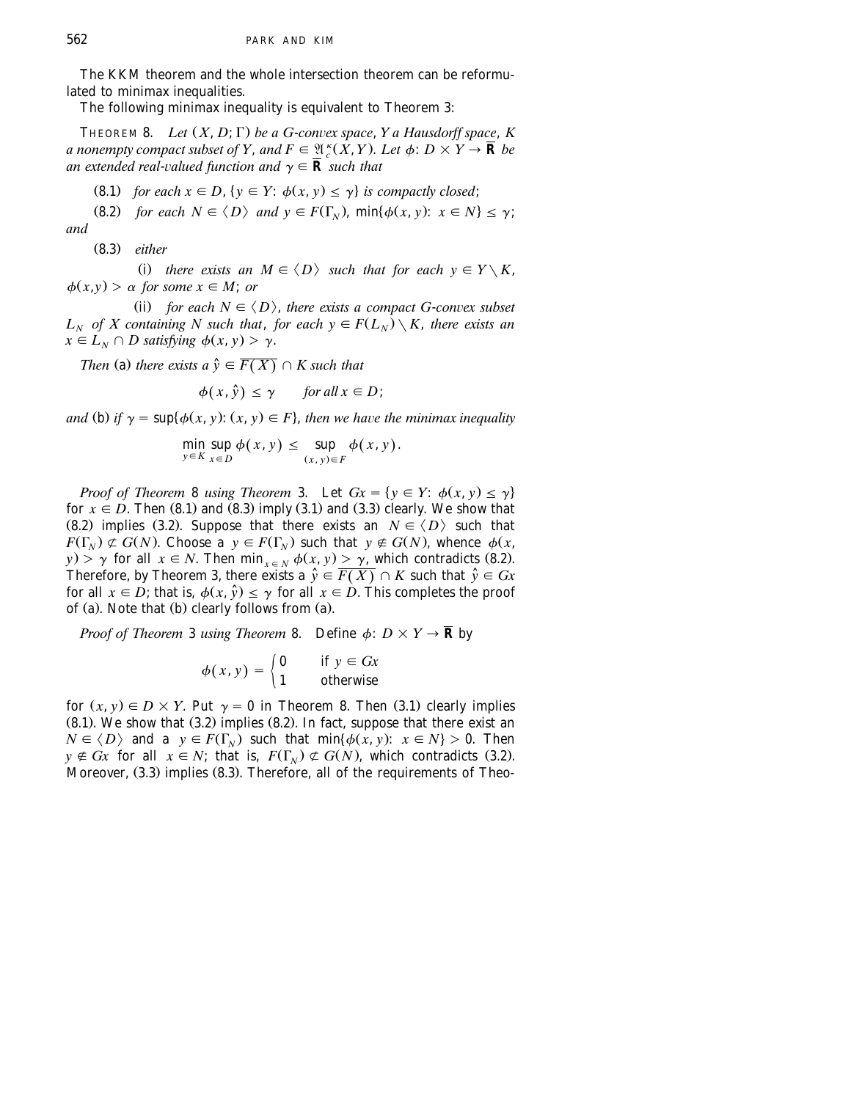The KKM theorem and the whole intersection theorem can be reformulated to minimax inequalities.

The following minimax inequality is equivalent to Theorem 3:

THEOREM 8. *Let*  $(X, D; \Gamma)$  *be a G-convex space, Y a Hausdorff space, K a nonempty compact subset of Y, and*  $F \in \mathfrak{A}_{c}^{\kappa}(X, Y)$ *. Let*  $\phi: D \times Y \to \mathbf{\overline{R}}$  *be an extended real-valued function and*  $\gamma \in \overline{\mathbf{R}}$  *such that* 

**(8.1)** for each  $x \in D$ ,  $\{y \in Y : \phi(x, y) \leq \gamma\}$  is compactly closed;

**(8.2)** for each  $N \in \langle D \rangle$  and  $y \in F(\Gamma_N)$ ,  $\min\{\phi(x, y): x \in N\} \leq \gamma$ ; *and*

Ž . 8.3 *either*

(i) there exists an  $M \in \langle D \rangle$  such that for each  $y \in Y \setminus K$ ,  $\phi(x, y) > \alpha$  *for some*  $x \in M$ ; *or* 

(ii) for each  $N \in \langle D \rangle$ , there exists a compact G-convex subset  $L_N$  of X containing N such that, for each  $y \in F(L_N) \setminus K$ , there exists an  $x \in L_N \cap D$  satisfying  $\phi(x, y) > y$ .

*Then* (a) there exists a  $\hat{y} \in \overline{F(X)} \cap K$  such that

$$
\phi(x,\hat{y}) \le \gamma \quad \text{for all } x \in D;
$$

*and* (b) *if*  $\gamma = \sup \{ \phi(x, y) : (x, y) \in F \}$ , then we have the minimax inequality

$$
\min_{y \in K} \sup_{x \in D} \phi(x, y) \leq \sup_{(x, y) \in F} \phi(x, y).
$$

*Proof of Theorem 8 using Theorem 3.* Let  $Gx = \{y \in Y: \phi(x, y) \leq \gamma\}$ for  $x \in D$ . Then (8.1) and (8.3) imply (3.1) and (3.3) clearly. We show that (8.2) implies (3.2). Suppose that there exists an  $N \in \langle D \rangle$  such that  $F(\Gamma_N) \not\subset G(N)$ . Choose a  $y \in F(\Gamma_N)$  such that  $y \notin G(N)$ , whence  $\phi(x, \Gamma_N)$  $y$ .  $\gamma$  for all  $x \in N$ . Then min  $\lim_{x \in N} \phi(x, y) \ge \gamma$ , which contradicts (8.2). Therefore, by Theorem 3, there exists a  $\hat{y} \in \overline{F(X)} \cap K$  such that  $\hat{y} \in Gx$ for all  $x \in D$ ; that is,  $\phi(x, \hat{y}) \leq \gamma$  for all  $x \in D$ . This completes the proof of (a). Note that (b) clearly follows from (a).

*Proof of Theorem* 3 *using Theorem* 8. Define  $\phi: D \times Y \rightarrow \mathbf{\overline{R}}$  by

$$
\phi(x, y) = \begin{cases} 0 & \text{if } y \in Gx \\ 1 & \text{otherwise} \end{cases}
$$

for  $(x, y) \in D \times Y$ . Put  $\gamma = 0$  in Theorem 8. Then (3.1) clearly implies  $(8.1)$ . We show that  $(3.2)$  implies  $(8.2)$ . In fact, suppose that there exist an  $N \in \langle D \rangle$  and a  $y \in F(\Gamma_N)$  such that min $\{\phi(x, y): x \in N\} > 0$ . Then  $y \notin Gx$  for all  $x \in N$ ; that is,  $F(\Gamma_N) \not\subset G(N)$ , which contradicts (3.2). Moreover,  $(3.3)$  implies  $(8.3)$ . Therefore, all of the requirements of Theo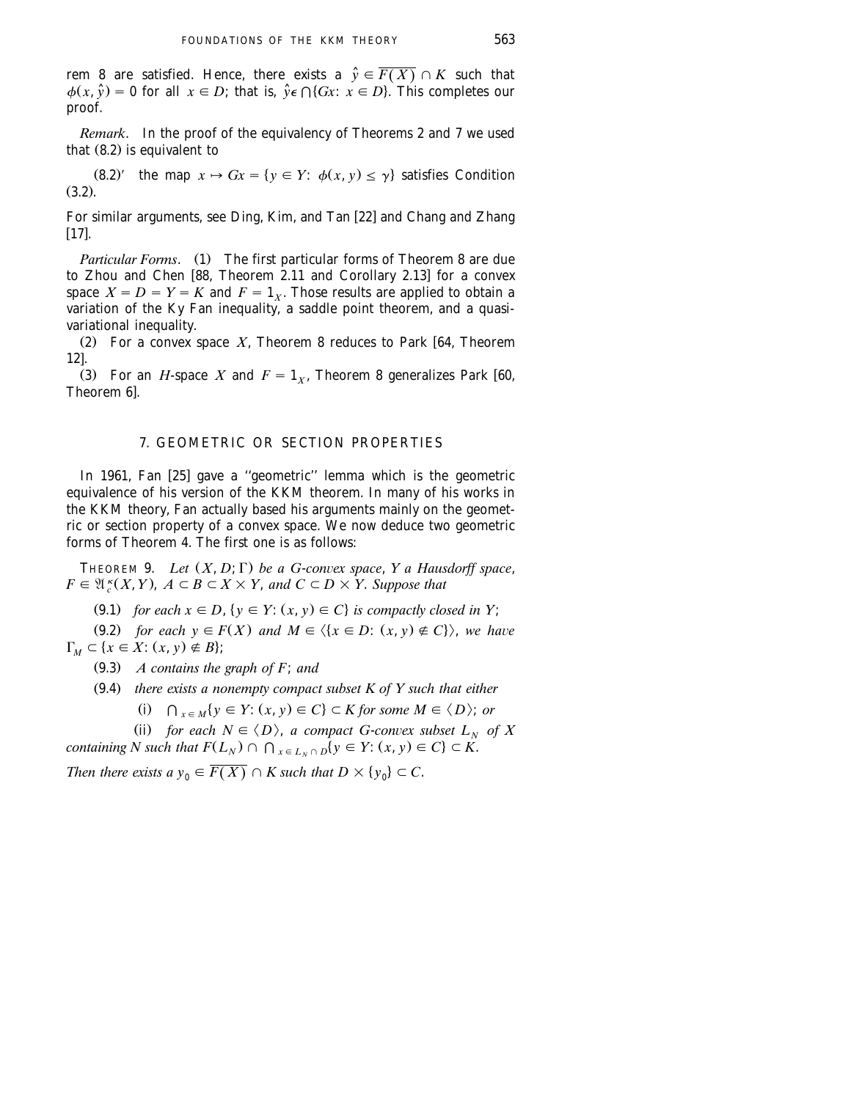rem 8 are satisfied. Hence, there exists a  $\hat{y} \in \overline{F(X)} \cap K$  such that  $\phi(x, \hat{y}) = 0$  for all  $x \in D$ ; that is,  $\hat{y} \in \bigcap \{Gx : x \in D\}$ . This completes our proof.

*Remark*. In the proof of the equivalency of Theorems 2 and 7 we used that  $(8.2)$  is equivalent to

 $(8.2)'$  the map  $x \mapsto Gx = \{y \in Y: \phi(x, y) \leq y\}$  satisfies Condition  $(3.2)$ .

For similar arguments, see Ding, Kim, and Tan [22] and Chang and Zhang  $[17]$ .

*Particular Forms.* (1) The first particular forms of Theorem 8 are due to Zhou and Chen [88, Theorem 2.11 and Corollary 2.13] for a convex space  $X = D = Y = K$  and  $F = 1<sub>X</sub>$ . Those results are applied to obtain a variation of the Ky Fan inequality, a saddle point theorem, and a quasivariational inequality.

(2) For a convex space *X*, Theorem 8 reduces to Park [64, Theorem  $121.$ 

(3) For an *H*-space *X* and  $F = 1<sub>x</sub>$ , Theorem 8 generalizes Park [60, Theorem 6].

# 7. GEOMETRIC OR SECTION PROPERTIES

In 1961, Fan [25] gave a "geometric" lemma which is the geometric equivalence of his version of the KKM theorem. In many of his works in the KKM theory, Fan actually based his arguments mainly on the geometric or section property of a convex space. We now deduce two geometric forms of Theorem 4. The first one is as follows:

THEOREM 9. *Let*  $(X, D; \Gamma)$  *be a G-convex space*, *Y a Hausdorff space*,  $F \in \mathfrak{A}_{\epsilon}^{\kappa}(X, Y), A \subset B \subset X \times Y,$  and  $C \subset D \times Y$ . Suppose that

 $(9.1)$  *for each*  $x \in D$ ,  $\{y \in Y : (x, y) \in C\}$  *is compactly closed in Y*;

(9.2) *for each*  $y \in F(X)$  *and*  $M \in \langle \{x \in D : (x, y) \notin C \} \rangle$ , we have  $\Gamma_M \subset \{x \in X : (x, y) \notin B\};\$ 

Ž . 9.3 *A contains the graph of F*; *and*

Ž . 9.4 *there exists a nonempty compact subset K of Y such that either*

 $(i)$   $\bigcap_{x \in M} \{y \in Y: (x, y) \in C\} \subset K$  for some  $M \in \langle D \rangle$ ; or

(ii) for each  $N \in \langle D \rangle$ , *a compact G-convex subset*  $L_N$  of X *containing N such that*  $F(L_N) \cap \bigcap_{x \in L_N \cap D} \{y \in Y: (x, y) \in C\} \subset K$ .

*Then there exists a*  $y_0 \in \overline{F(X)} \cap K$  *such that*  $D \times \{y_0\} \subset C$ .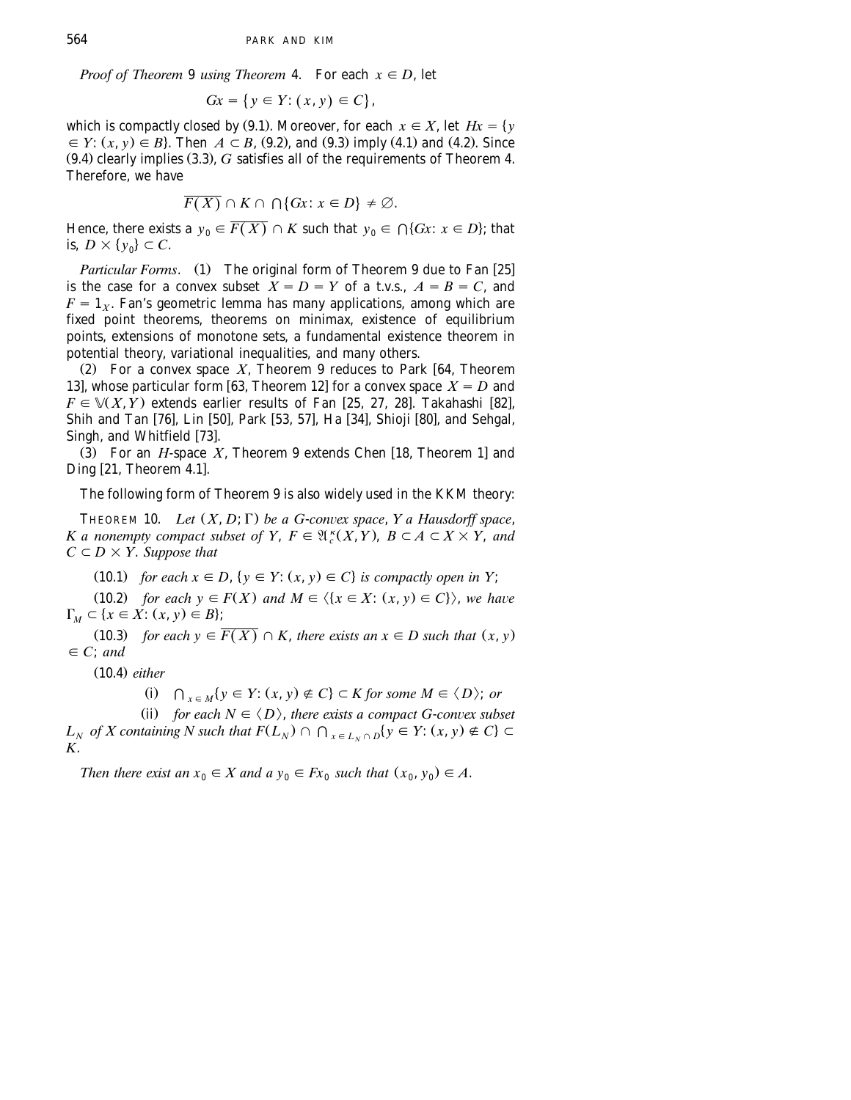*Proof of Theorem* 9 *using Theorem* 4. For each  $x \in D$ , let

$$
Gx = \{ y \in Y : (x, y) \in C \},
$$

which is compactly closed by (9.1). Moreover, for each  $x \in X$ , let  $Hx = \{y$  $\in$  *Y*:  $(x, y) \in B$ . Then  $A \subset B$ , (9.2), and (9.3) imply (4.1) and (4.2). Since  $(9.4)$  clearly implies  $(3.3)$ ,  $G$  satisfies all of the requirements of Theorem 4. Therefore, we have

$$
\overline{F(X)} \cap K \cap \bigcap \{Gx \colon x \in D\} \neq \emptyset.
$$

Hence, there exists a  $y_0 \in \overline{F(X)} \cap K$  such that  $y_0 \in \bigcap \{Gx : x \in D\}$ ; that is,  $D \times \{y_0\} \subset C$ .

*Particular Forms.* (1) The original form of Theorem 9 due to Fan [25] is the case for a convex subset  $\widetilde{X} = D = Y$  of a t.v.s.,  $A = B = C$ , and  $F = 1_x$ . Fan's geometric lemma has many applications, among which are fixed point theorems, theorems on minimax, existence of equilibrium points, extensions of monotone sets, a fundamental existence theorem in potential theory, variational inequalities, and many others.

(2) For a convex space  $X$ , Theorem 9 reduces to Park [64, Theorem 13], whose particular form [63, Theorem 12] for a convex space  $X = D$  and  $F \in \mathcal{V}(X, Y)$  extends earlier results of Fan [25, 27, 28]. Takahashi [82], Shih and Tan [76], Lin [50], Park [53, 57], Ha [34], Shioji [80], and Sehgal, Singh, and Whitfield [73].

 $(3)$  For an *H*-space *X*, Theorem 9 extends Chen [18, Theorem 1] and Ding  $[21,$  Theorem 4.1].

The following form of Theorem 9 is also widely used in the KKM theory:

THEOREM 10. *Let*  $(X, D; \Gamma)$  *be a G-convex space, Y a Hausdorff space,* K a nonempty compact subset of Y,  $F \in \mathfrak{A}^k(X,Y)$ ,  $B \subset A \subset X \times Y$ , and  $C \subset D \times Y$ . *Suppose that* 

(10.1) for each  $x \in D$ ,  $\{y \in Y : (x, y) \in C\}$  is compactly open in Y;

(10.2) *for each*  $y \in F(X)$  *and*  $M \in \langle \{x \in X : (x, y) \in C \} \rangle$ , *we have*  $\Gamma_M \subset \{x \in X : (x, y) \in B\};\$ 

(10.3) *for each*  $y \in \overline{F(X)} \cap K$ *, there exists an*  $x \in D$  *such that*  $(x, y)$  $\in C$ ; *and* 

Ž . 10.4 *either*

(i)  $\bigcap_{x \in M} \{y \in Y : (x, y) \notin C\} \subset K$  for some  $M \in \langle D \rangle$ ; or

(ii) for each  $N \in \langle D \rangle$ , there exists a compact G-convex subset

*L<sub>N</sub>* of *X* containing *N* such that  $F(L_N) \cap \bigcap_{x \in L_N \cap D} \{y \in Y : (x, y) \notin C\} \subset$ *K*.

*Then there exist an*  $x_0 \in X$  *and a*  $y_0 \in Fx_0$  *such that*  $(x_0, y_0) \in A$ .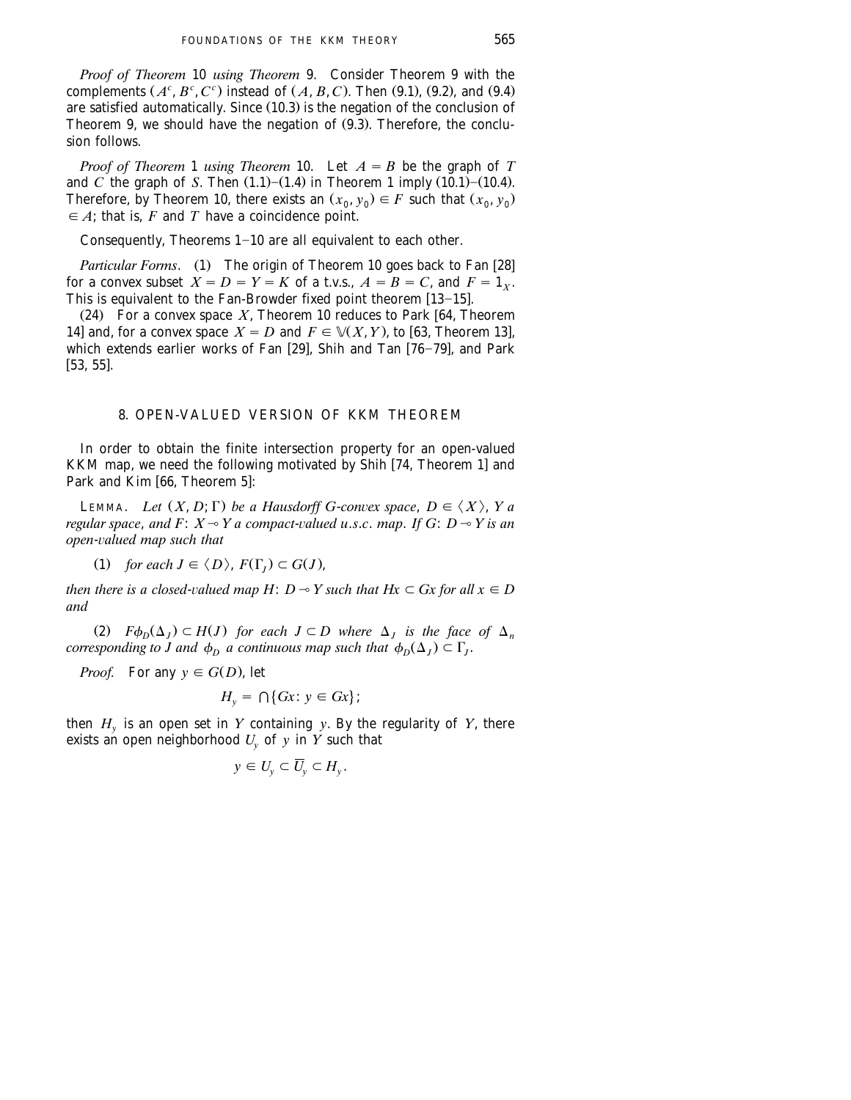*Proof of Theorem* 10 *using Theorem* 9. Consider Theorem 9 with the complements  $(A^c, B^c, C^c)$  instead of  $(A, B, C)$ . Then  $(9.1)$ ,  $(9.2)$ , and  $(9.4)$ are satisfied automatically. Since  $(10.3)$  is the negation of the conclusion of Theorem 9, we should have the negation of  $(9.3)$ . Therefore, the conclusion follows.

*Proof of Theorem* 1 *using Theorem* 10. Let  $A = B$  be the graph of *T* and *C* the graph of *S*. Then  $(1.1)$ – $(1.4)$  in Theorem 1 imply  $(10.1)$ – $(10.4)$ . Therefore, by Theorem 10, there exists an  $(x_0, y_0) \in F$  such that  $(x_0, y_0)$  $\in$  *A*; that is, *F* and *T* have a coincidence point.

Consequently, Theorems  $1-10$  are all equivalent to each other.

*Particular Forms.* (1) The origin of Theorem 10 goes back to Fan [28] for a convex subset  $X = D = Y = K$  of a t.v.s.,  $A = B = C$ , and  $F = 1<sub>x</sub>$ . This is equivalent to the Fan-Browder fixed point theorem  $[13-15]$ .

(24) For a convex space  $X$ , Theorem 10 reduces to Park [64, Theorem 14] and, for a convex space  $X = D$  and  $F \in V(X, Y)$ , to [63, Theorem 13], which extends earlier works of Fan  $[29]$ . Shih and Tan  $[76-79]$ , and Park  $[53, 55]$ .

#### 8. OPEN-VALUED VERSION OF KKM THEOREM

In order to obtain the finite intersection property for an open-valued KKM map, we need the following motivated by Shih  $[74,$  Theorem 1] and Park and Kim [66, Theorem 5]:

**LEMMA.** *Let*  $(X, D; \Gamma)$  *be a Hausdorff G-convex space,*  $D \in \langle X \rangle$ ,  $Y$  *a regular space, and F:*  $X \rightarrow Y$  *a compact-valued u.s.c. map. If G:*  $D \rightarrow Y$  *is an open-valued map such that* 

(1) for each  $J \in \langle D \rangle$ ,  $F(\Gamma_I) \subset G(J)$ ,

*then there is a closed-valued map H*:  $D \rightarrow Y$  *such that Hx*  $\subset$  *Gx for all x*  $\in$  *D and*

(2)  $F\phi_D(\Delta_I) \subset H(J)$  for each  $J \subset D$  where  $\Delta_I$  is the face of  $\Delta_n$ *corresponding to J and*  $\phi_D$  *a continuous map such that*  $\phi_D(\Delta_I) \subset \Gamma_I$ .

*Proof.* For any  $y \in G(D)$ , let

$$
H_{y} = \bigcap \{Gx \colon y \in Gx\};
$$

then  $H<sub>v</sub>$  is an open set in *Y* containing *y*. By the regularity of *Y*, there exists an open neighborhood  $U_v$  of y in Y such that

$$
y \in U_y \subset \overline{U}_y \subset H_y.
$$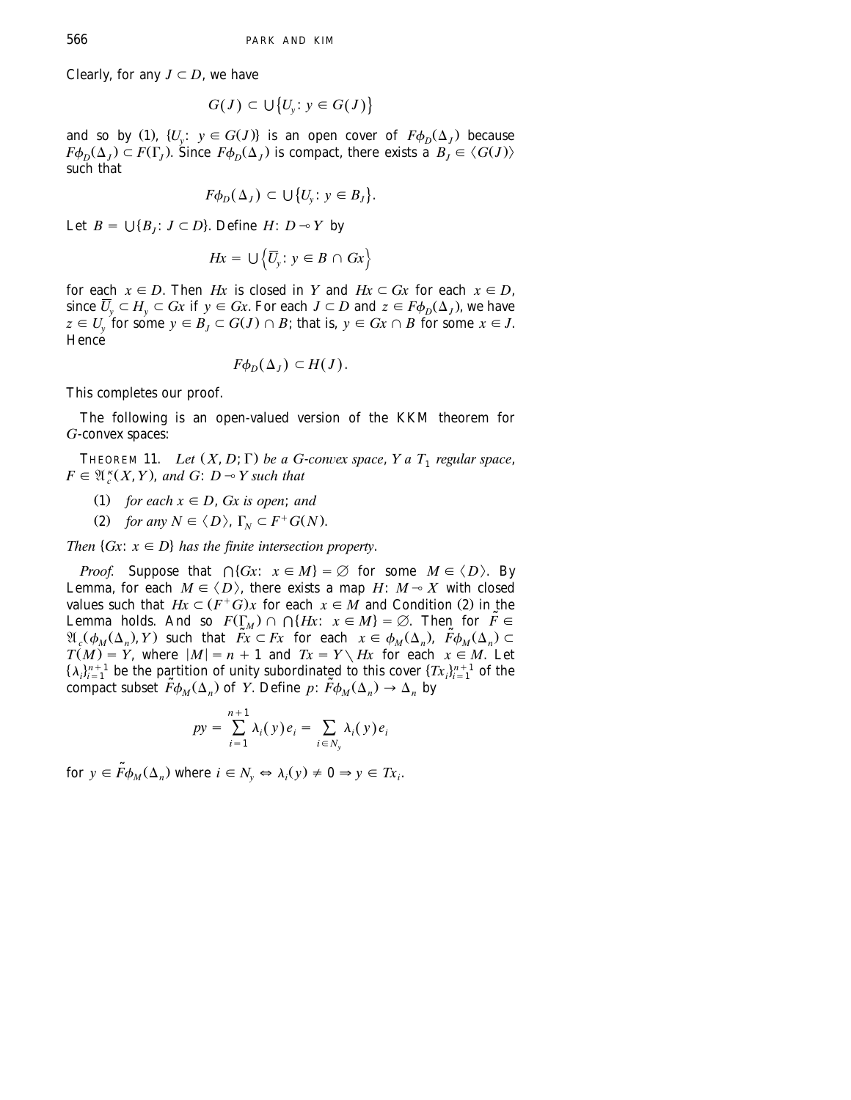Clearly, for any  $J \subset D$ , we have

$$
G(J) \subset \bigcup \big\{ U_y : y \in G(J) \big\}
$$

and so by (1),  $\{U_v : y \in G(J)\}$  is an open cover of  $F\phi_n(\Delta_i)$  because  $F\phi_D(\Delta_I) \subset F(\Gamma_I)$ . Since  $F\phi_D(\Delta_I)$  is compact, there exists a  $B_I \in \langle G(J) \rangle$ such that

$$
F\phi_D(\Delta_J) \subset \bigcup \big\{ U_y : y \in B_J \big\}.
$$

Let  $B = \bigcup \{B_i : J \subset D\}$ . Define  $H: D \rightarrow Y$  by

$$
Hx = \cup \left\{ \overline{U}_y : y \in B \cap Gx \right\}
$$

for each  $x \in D$ . Then *Hx* is closed in *Y* and  $Hx \subset Gx$  for each  $x \in D$ , since  $\overline{U}_y \subset H_y \subset Gx$  if  $y \in Gx$ . For each  $J \subset D$  and  $z \in F\phi_D(\Delta_J)$ , we have  $z \in U$  for some  $y \in B$ ,  $\subset G(J) \cap B$ ; that is,  $y \in Gx \cap B$  for some  $x \in J$ . Hence

$$
F\phi_D(\Delta_J)\subset H(J).
$$

This completes our proof.

The following is an open-valued version of the KKM theorem for *G*-convex spaces:

THEOREM 11. *Let*  $(X, D; \Gamma)$  *be a G-convex space*,  $Y$  *a*  $T_1$  *regular space*,  $F \in \mathfrak{A}_{c}^{k}(X, Y)$ , and  $G: D \rightarrow Y$  such that

- (1) for each  $x \in D$ , *Gx is open*; *and*
- (2) for any  $N \in \langle D \rangle$ ,  $\Gamma_N \subset F^+G(N)$ .

*Then*  $\{Gx : x \in D\}$  *has the finite intersection property.* 

*Proof.* Suppose that  $\bigcap \{ Gx : x \in M \} = \emptyset$  for some  $M \in \langle D \rangle$ . By Lemma, for each  $M \in \langle D \rangle$ , there exists a map *H*:  $M \rightarrow X$  with closed values such that  $Hx \subset (F^+G)x$  for each  $x \in M$  and Condition (2) in the Lemma holds. And so  $F(\Gamma_M) \cap \Gamma(Hx; x \in M) = \emptyset$ . Then for  $\tilde{F} \in$  $\mathfrak{A}_{\alpha}(\phi_M(\Delta_n), Y)$  such that  $\widetilde{F}_X \subset F_X$  for each  $x \in \phi_M(\Delta_n), \ \widetilde{F}\phi_M(\Delta_n) \subset$  $T(M) = Y$ , where  $|M| = n + 1$  and  $Tx = Y \setminus Hx$  for each  $x \in M$ . Let  $\{\lambda_i\}_{i=1}^{n+1}$  be the partition of unity subordinated to this cover  $\{Tx_i\}_{i=1}^{n+1}$  of the compact subset  $\tilde{F}\phi_M(\Delta_n)$  of *Y*. Define  $p: \tilde{F}\phi_M(\Delta_n) \to \Delta_n$  by

$$
py = \sum_{i=1}^{n+1} \lambda_i(y) e_i = \sum_{i \in N_y} \lambda_i(y) e_i
$$

for  $y \in \tilde{F}\phi_M(\Delta_n)$  where  $i \in N_v \Leftrightarrow \lambda_i(y) \neq 0 \Rightarrow y \in Tx_i$ .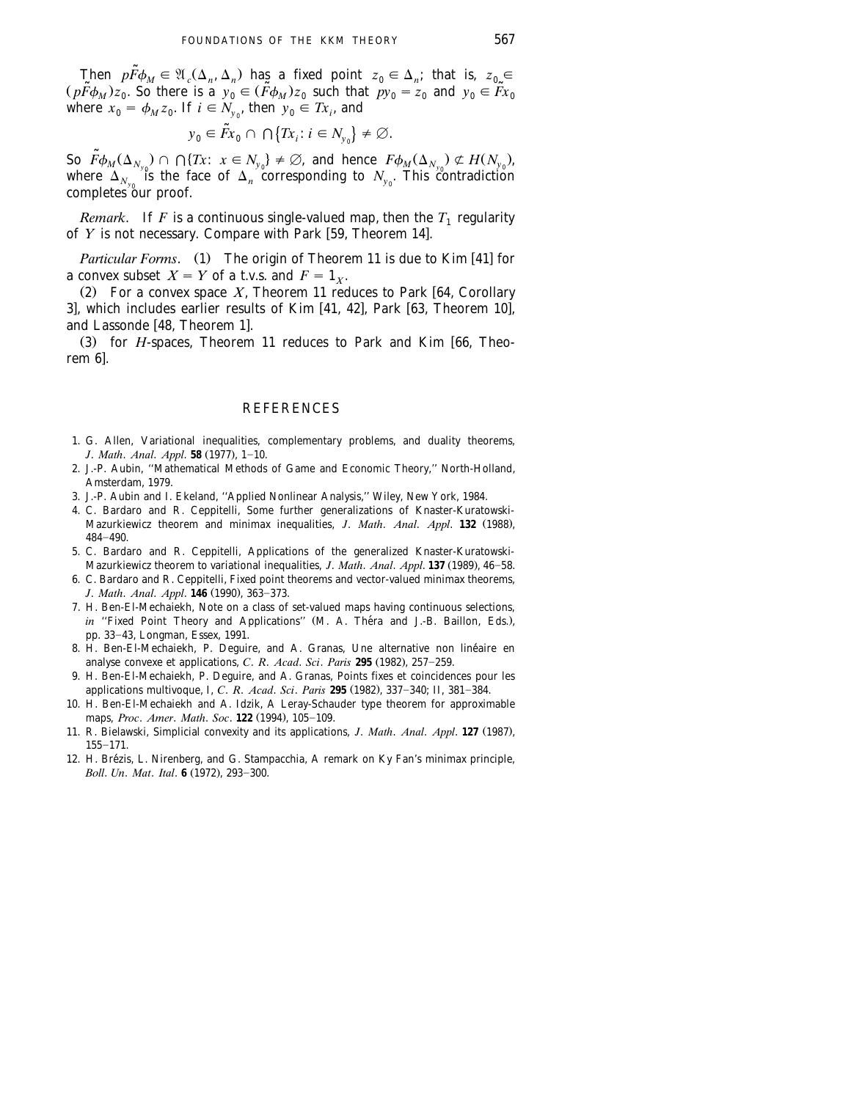Then  $p\tilde{F}\phi_M \in \mathfrak{A}_c(\Delta_n, \Delta_n)$  has a fixed point  $z_0 \in \Delta_n$ ; that is,  $z_0 \in$  $(p\widetilde{F}\phi_M)z_0$ . So there is a  $y_0 \in (\widetilde{F}\phi_M)z_0$  such that  $py_0 = z_0$  and  $y_0 \in \widetilde{F}x_0$ where  $x_0 = \phi_M z_0$ . If  $i \in N_{y_0}$ , then  $y_0 \in Tx_i$ , and

$$
y_0 \in \tilde{F}x_0 \cap \bigcap \{Tx_i : i \in N_{y_0}\} \neq \varnothing.
$$

So  $\tilde{F}\phi_M(\Delta_{N_{y_0}}) \cap \bigcap \{Tx: x \in N_{y_0}\} \neq \emptyset$ , and hence  $F\phi_M(\Delta_{N_{y_0}}) \not\subset H(N_{y_0})$ , where  $\Delta_{N_{y_0}}$  is the face of  $\Delta_n$  corresponding to  $N_{y_0}$ . This contradiction completes our proof.

*Remark.* If *F* is a continuous single-valued map, then the  $T_1$  regularity of *Y* is not necessary. Compare with Park [59, Theorem 14].

*Particular Forms.* (1) The origin of Theorem 11 is due to Kim [41] for a convex subset  $X = Y$  of a t.v.s. and  $F = 1<sub>x</sub>$ .

(2) For a convex space  $X$ , Theorem 11 reduces to Park [64, Corollary 3], which includes earlier results of Kim  $[41, 42]$ , Park  $[63,$  Theorem 10], and Lassonde [48, Theorem 1].

(3) for *H*-spaces, Theorem 11 reduces to Park and Kim [66, Theorem 6.

#### **REFERENCES**

- 1. G. Allen, Variational inequalities, complementary problems, and duality theorems, *J. Math. Anal. Appl.* **58** (1977), 1-10.
- 2. J.-P. Aubin, ''Mathematical Methods of Game and Economic Theory,'' North-Holland, Amsterdam, 1979.
- 3. J.-P. Aubin and I. Ekeland, ''Applied Nonlinear Analysis,'' Wiley, New York, 1984.
- 4. C. Bardaro and R. Ceppitelli, Some further generalizations of Knaster-Kuratowski-Mazurkiewicz theorem and minimax inequalities, *J. Math. Anal. Appl.* **132** (1988), 484-490.
- 5. C. Bardaro and R. Ceppitelli, Applications of the generalized Knaster-Kuratowski-Mazurkiewicz theorem to variational inequalities, *J. Math. Anal. Appl.* **137** (1989), 46-58.
- 6. C. Bardaro and R. Ceppitelli, Fixed point theorems and vector-valued minimax theorems, *J. Math. Anal. Appl.* **146** (1990), 363-373.
- 7. H. Ben-El-Mechaiekh, Note on a class of set-valued maps having continuous selections, *in* "Fixed Point Theory and Applications" (M. A. Théra and J.-B. Baillon, Eds.), pp. 33-43, Longman, Essex, 1991.
- 8. H. Ben-El-Mechaiekh, P. Deguire, and A. Granas, Une alternative non lineaire en ´ analyse convexe et applications, *C. R. Acad. Sci. Paris* **295** (1982), 257-259.
- 9. H. Ben-El-Mechaiekh, P. Deguire, and A. Granas, Points fixes et coincidences pour les applications multivoque, I, *C. R. Acad. Sci. Paris* **295** (1982), 337-340; II, 381-384.
- 10. H. Ben-El-Mechaiekh and A. Idzik, A Leray-Schauder type theorem for approximable maps, *Proc. Amer. Math. Soc.* **122** (1994), 105-109.
- 11. R. Bielawski, Simplicial convexity and its applications, *J. Math. Anal. Appl.* **127** (1987),  $155 - 171.$
- 12. H. Brézis, L. Nirenberg, and G. Stampacchia, A remark on Ky Fan's minimax principle, *Boll. Un. Mat. Ital.* **6** (1972), 293-300.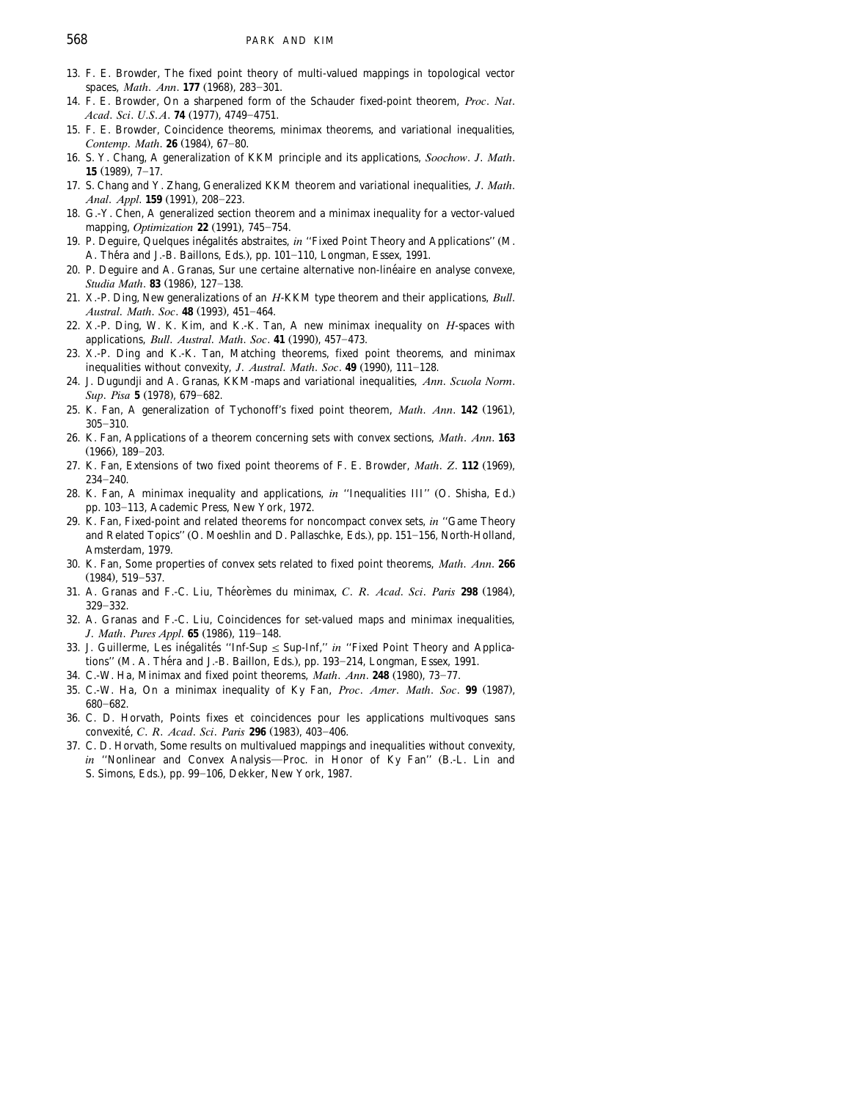- 13. F. E. Browder, The fixed point theory of multi-valued mappings in topological vector spaces, *Math. Ann.* **177** (1968), 283-301.
- 14. F. E. Browder, On a sharpened form of the Schauder fixed-point theorem, *Proc*. *Nat*. *Acad. Sci. U.S.A.* **74** (1977), 4749-4751.
- 15. F. E. Browder, Coincidence theorems, minimax theorems, and variational inequalities, *Contemp. Math.* **26** (1984), 67-80.
- 16. S. Y. Chang, A generalization of KKM principle and its applications, *Soochow*. *J*. *Math*. **15** (1989), 7-17.
- 17. S. Chang and Y. Zhang, Generalized KKM theorem and variational inequalities, *J*. *Math*. *Anal. Appl.* **159** (1991), 208-223.
- 18. G.-Y. Chen, A generalized section theorem and a minimax inequality for a vector-valued mapping, *Optimization* **22** (1991), 745-754.
- 19. P. Deguire, Quelques inégalités abstraites, in "Fixed Point Theory and Applications" (M. A. Théra and J.-B. Baillons, Eds.), pp. 101-110, Longman, Essex, 1991.
- 20. P. Deguire and A. Granas, Sur une certaine alternative non-linéaire en analyse convexe, *Studia Math.* **83** (1986), 127-138.
- 21. X.-P. Ding, New generalizations of an *H*-KKM type theorem and their applications, *Bull*. *Austral. Math. Soc.* **48** (1993), 451-464.
- 22. X.-P. Ding, W. K. Kim, and K.-K. Tan, A new minimax inequality on *H*-spaces with applications, *Bull. Austral. Math. Soc.* 41 (1990), 457-473.
- 23. X.-P. Ding and K.-K. Tan, Matching theorems, fixed point theorems, and minimax inequalities without convexity, *J. Austral. Math. Soc.* 49 (1990), 111-128.
- 24. J. Dugundji and A. Granas, KKM-maps and variational inequalities, *Ann*. *Scuola Norm*. *Sup. Pisa* **5** (1978), 679-682.
- 25. K. Fan, A generalization of Tychonoff's fixed point theorem, Math. Ann. 142 (1961),  $305 - 310.$
- 26. K. Fan, Applications of a theorem concerning sets with convex sections, *Math*. *Ann*. **163**  $(1966)$ ,  $189-203$ .
- 27. K. Fan, Extensions of two fixed point theorems of F. E. Browder, *Math. Z.* 112 (1969),  $234 - 240.$
- 28. K. Fan, A minimax inequality and applications, *in* "Inequalities III" (O. Shisha, Ed.) pp. 103-113, Academic Press, New York, 1972.
- 29. K. Fan, Fixed-point and related theorems for noncompact convex sets, *in* ''Game Theory and Related Topics" (O. Moeshlin and D. Pallaschke, Eds.), pp. 151-156, North-Holland, Amsterdam, 1979.
- 30. K. Fan, Some properties of convex sets related to fixed point theorems, *Math*. *Ann*. **266**  $(1984)$ , 519-537.
- 31. A. Granas and F.-C. Liu, Théorèmes du minimax, C. *R. Acad. Sci. Paris* 298 (1984), 329-332.
- 32. A. Granas and F.-C. Liu, Coincidences for set-valued maps and minimax inequalities, *J. Math. Pures Appl.* **65** (1986), 119-148.
- 33. J. Guillerme, Les inégalités "Inf-Sup  $\leq$  Sup-Inf," *in* "Fixed Point Theory and Applications" (M. A. Théra and J.-B. Baillon, Eds.), pp. 193-214, Longman, Essex, 1991.
- 34. C.-W. Ha, Minimax and fixed point theorems, Math. Ann. 248 (1980), 73-77.
- 35. C.-W. Ha, On a minimax inequality of Ky Fan, Proc. Amer. Math. Soc. 99 (1987), 680-682.
- 36. C. D. Horvath, Points fixes et coincidences pour les applications multivoques sans convexité, *C. R. Acad. Sci. Paris* 296 (1983), 403-406.
- 37. C. D. Horvath, Some results on multivalued mappings and inequalities without convexity, *in* "Nonlinear and Convex Analysis-Proc. in Honor of Ky Fan" (B.-L. Lin and S. Simons, Eds.), pp. 99-106, Dekker, New York, 1987.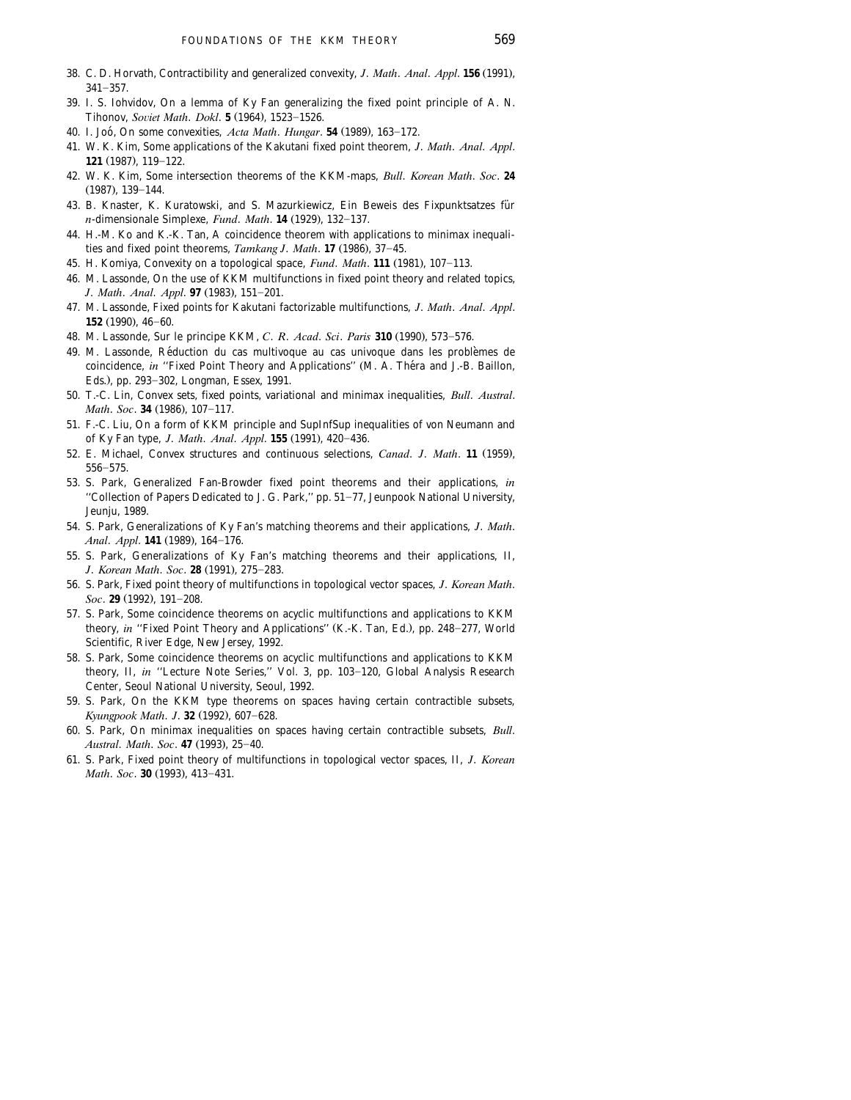- 38. C. D. Horvath, Contractibility and generalized convexity, *J. Math. Anal. Appl.* 156 (1991).  $341 - 357.$
- 39. I. S. Iohvidov, On a lemma of Ky Fan generalizing the fixed point principle of A. N. Tihonov, *Soviet Math. Dokl.* **5** (1964), 1523-1526.
- 40. I. Joó, On some convexities, Acta Math. *Hungar*. **54** (1989), 163-172.
- 41. W. K. Kim, Some applications of the Kakutani fixed point theorem, *J*. *Math*. *Anal*. *Appl*. **121** (1987), 119-122.
- 42. W. K. Kim, Some intersection theorems of the KKM-maps, *Bull*. *Korean Math*. *Soc*. **24**  $(1987), 139-144.$
- 43. B. Knaster, K. Kuratowski, and S. Mazurkiewicz, Ein Beweis des Fixpunktsatzes für *n*-dimensionale Simplexe, *Fund. Math.* **14** (1929), 132-137.
- 44. H.-M. Ko and K.-K. Tan, A coincidence theorem with applications to minimax inequalities and fixed point theorems, *Tamkang J. Math*. 17 (1986), 37-45.
- 45. H. Komiya, Convexity on a topological space, *Fund. Math.* **111** (1981), 107-113.
- 46. M. Lassonde, On the use of KKM multifunctions in fixed point theory and related topics, *J. Math. Anal. Appl.* **97** (1983), 151-201.
- 47. M. Lassonde, Fixed points for Kakutani factorizable multifunctions, *J*. *Math*. *Anal*. *Appl*. **152** (1990), 46-60.
- 48. M. Lassonde, Sur le principe KKM, *C. R. Acad. Sci. Paris* 310 (1990), 573-576.
- 49. M. Lassonde, Reduction du cas multivoque au cas univoque dans les problemes de ´ ` coincidence, *in* "Fixed Point Theory and Applications" (M. A. Théra and J.-B. Baillon, Eds.), pp. 293-302, Longman, Essex, 1991.
- 50. T.-C. Lin, Convex sets, fixed points, variational and minimax inequalities, *Bull*. *Austral*. *Math. Soc.* **34** (1986), 107-117.
- 51. F.-C. Liu, On a form of KKM principle and SupInfSup inequalities of von Neumann and of Ky Fan type, *J. Math. Anal. Appl.* **155** (1991), 420-436.
- 52. E. Michael, Convex structures and continuous selections, *Canad. J. Math.* 11 (1959),  $556 - 575.$
- 53. S. Park, Generalized Fan-Browder fixed point theorems and their applications, *in* "Collection of Papers Dedicated to J. G. Park," pp. 51-77, Jeunpook National University, Jeunju, 1989.
- 54. S. Park, Generalizations of Ky Fan's matching theorems and their applications, *J*. *Math*. *Anal. Appl.* **141** (1989), 164-176.
- 55. S. Park, Generalizations of Ky Fan's matching theorems and their applications, II, *J. Korean Math. Soc.* **28** (1991), 275-283.
- 56. S. Park, Fixed point theory of multifunctions in topological vector spaces, *J*. *Korean Math*. *Soc.* **29** (1992), 191-208.
- 57. S. Park, Some coincidence theorems on acyclic multifunctions and applications to KKM theory, *in* "Fixed Point Theory and Applications" (K.-K. Tan, Ed.), pp. 248-277, World Scientific, River Edge, New Jersey, 1992.
- 58. S. Park, Some coincidence theorems on acyclic multifunctions and applications to KKM theory, II, in "Lecture Note Series," Vol. 3, pp. 103-120, Global Analysis Research Center, Seoul National University, Seoul, 1992.
- 59. S. Park, On the KKM type theorems on spaces having certain contractible subsets, *Kyungpook Math. J.* **32** (1992), 607-628.
- 60. S. Park, On minimax inequalities on spaces having certain contractible subsets, *Bull*. *Austral. Math. Soc.* 47 (1993), 25-40.
- 61. S. Park, Fixed point theory of multifunctions in topological vector spaces, II, *J*. *Korean Math. Soc.* **30** (1993), 413-431.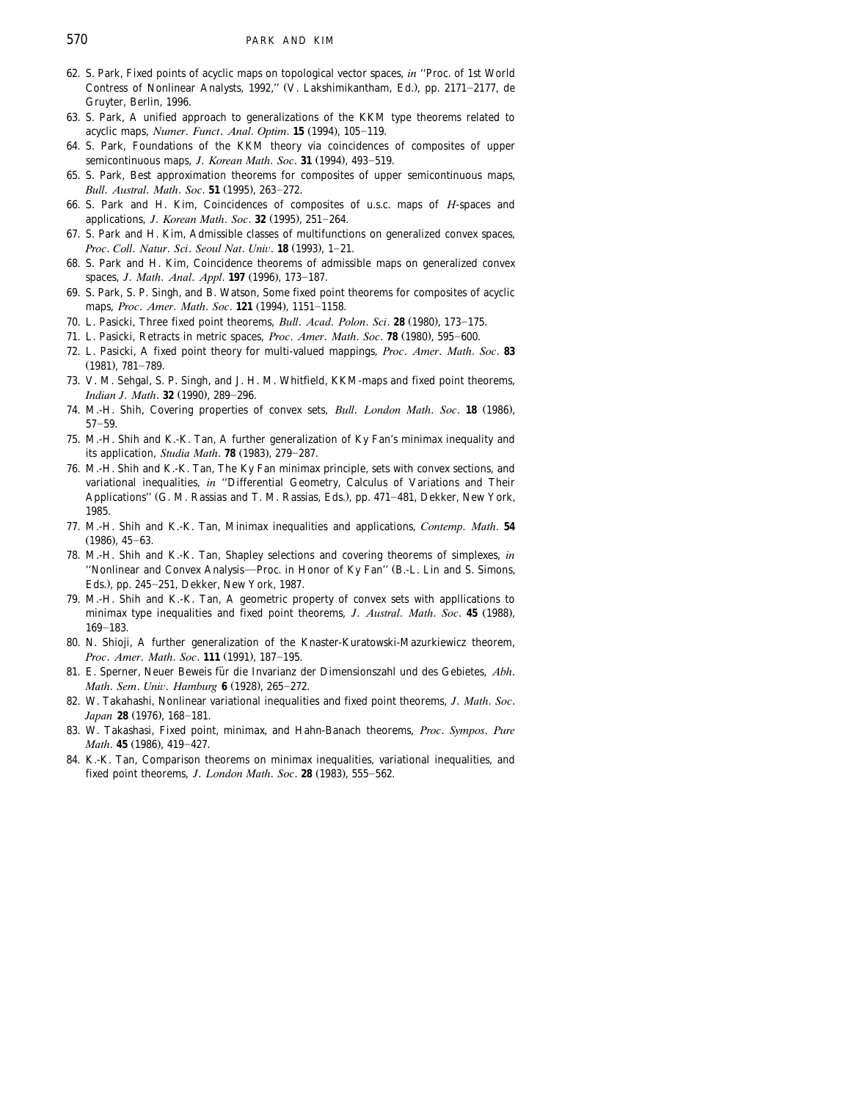- 62. S. Park, Fixed points of acyclic maps on topological vector spaces, *in* ''Proc. of 1st World Contress of Nonlinear Analysts, 1992," (V. Lakshimikantham, Ed.), pp. 2171-2177, de Gruyter, Berlin, 1996.
- 63. S. Park, A unified approach to generalizations of the KKM type theorems related to acyclic maps, *Numer*. *Funct. Anal. Optim.* **15** (1994), 105-119.
- 64. S. Park, Foundations of the KKM theory via coincidences of composites of upper semicontinuous maps, *J. Korean Math. Soc.* **31** (1994), 493-519.
- 65. S. Park, Best approximation theorems for composites of upper semicontinuous maps, *Bull. Austral. Math. Soc.* **51** (1995), 263-272.
- 66. S. Park and H. Kim, Coincidences of composites of u.s.c. maps of *H*-spaces and applications, *J. Korean Math. Soc.* **32** (1995), 251-264.
- 67. S. Park and H. Kim, Admissible classes of multifunctions on generalized convex spaces, *Proc. Coll. Natur. Sci. Seoul Nat. Univ.* **18** (1993). 1-21.
- 68. S. Park and H. Kim, Coincidence theorems of admissible maps on generalized convex spaces, *J. Math. Anal. Appl.* **197** (1996), 173-187.
- 69. S. Park, S. P. Singh, and B. Watson, Some fixed point theorems for composites of acyclic maps, Proc. Amer. Math. Soc. 121 (1994), 1151-1158.
- 70. L. Pasicki, Three fixed point theorems, *Bull. Acad. Polon. Sci.* **28** (1980), 173-175.
- 71. L. Pasicki, Retracts in metric spaces, *Proc. Amer. Math. Soc.* **78** (1980), 595-600.
- 72. L. Pasicki, A fixed point theory for multi-valued mappings, *Proc*. *Amer*. *Math*. *Soc*. **83**  $(1981)$ , 781-789.
- 73. V. M. Sehgal, S. P. Singh, and J. H. M. Whitfield, KKM-maps and fixed point theorems, *Indian J. Math.* **32** (1990), 289-296.
- 74. M.-H. Shih, Covering properties of convex sets, *Bull. London Math. Soc.* 18 (1986),  $57 - 59.$
- 75. M.-H. Shih and K.-K. Tan, A further generalization of Ky Fan's minimax inequality and its application, *Studia Math.* **78** (1983), 279-287.
- 76. M.-H. Shih and K.-K. Tan, The Ky Fan minimax principle, sets with convex sections, and variational inequalities, *in* ''Differential Geometry, Calculus of Variations and Their Applications" (G. M. Rassias and T. M. Rassias, Eds.), pp. 471-481, Dekker, New York, 1985.
- 77. M.-H. Shih and K.-K. Tan, Minimax inequalities and applications, *Contemp*. *Math*. **54**  $(1986), 45-63.$
- 78. M.-H. Shih and K.-K. Tan, Shapley selections and covering theorems of simplexes, *in* "Nonlinear and Convex Analysis—Proc. in Honor of Ky Fan" (B.-L. Lin and S. Simons, Eds.), pp. 245-251, Dekker, New York, 1987.
- 79. M.-H. Shih and K.-K. Tan, A geometric property of convex sets with appllications to minimax type inequalities and fixed point theorems, *J. Austral. Math. Soc.* 45 (1988), 169-183.
- 80. N. Shioji, A further generalization of the Knaster-Kuratowski-Mazurkiewicz theorem, *Proc. Amer. Math. Soc.* **111** (1991), 187-195.
- 81. E. Sperner, Neuer Beweis für die Invarianz der Dimensionszahl und des Gebietes, Abh. *Math. Sem. Univ. Hamburg* 6 (1928), 265-272.
- 82. W. Takahashi, Nonlinear variational inequalities and fixed point theorems, *J*. *Math*. *Soc*. *Japan* 28 (1976), 168-181.
- 83. W. Takashasi, Fixed point, minimax, and Hahn-Banach theorems, *Proc*. *Sympos*. *Pure Math.* 45 (1986), 419-427.
- 84. K.-K. Tan, Comparison theorems on minimax inequalities, variational inequalities, and fixed point theorems, *J. London Math. Soc.* **28** (1983), 555-562.